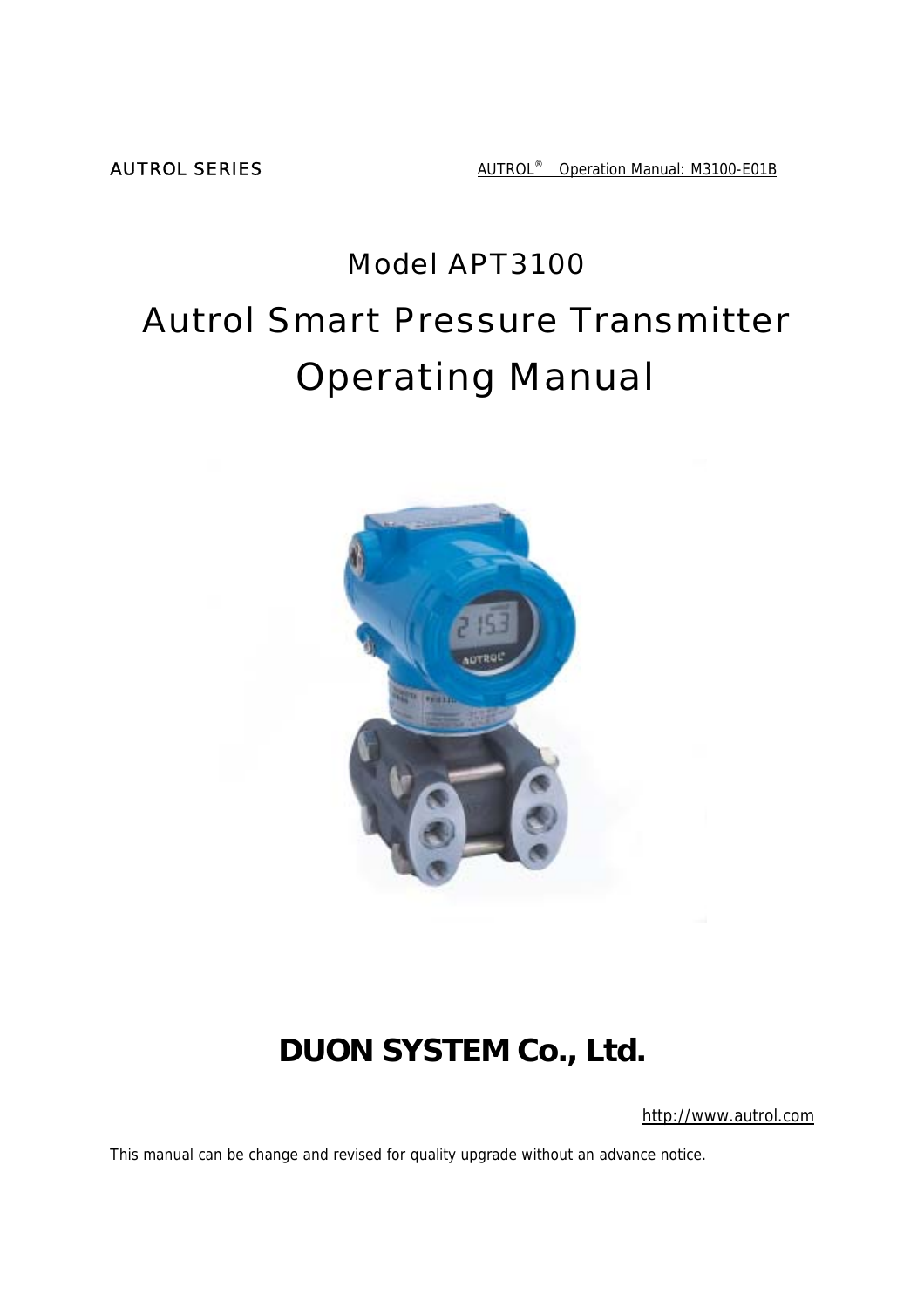**AUTROL SERIES** AUTROL<sup>®</sup> Operation Manual: M3100-E01B

# Model APT3100 Autrol Smart Pressure Transmitter Operating Manual



# **DUON SYSTEM Co., Ltd.**

http://www.autrol.com

This manual can be change and revised for quality upgrade without an advance notice.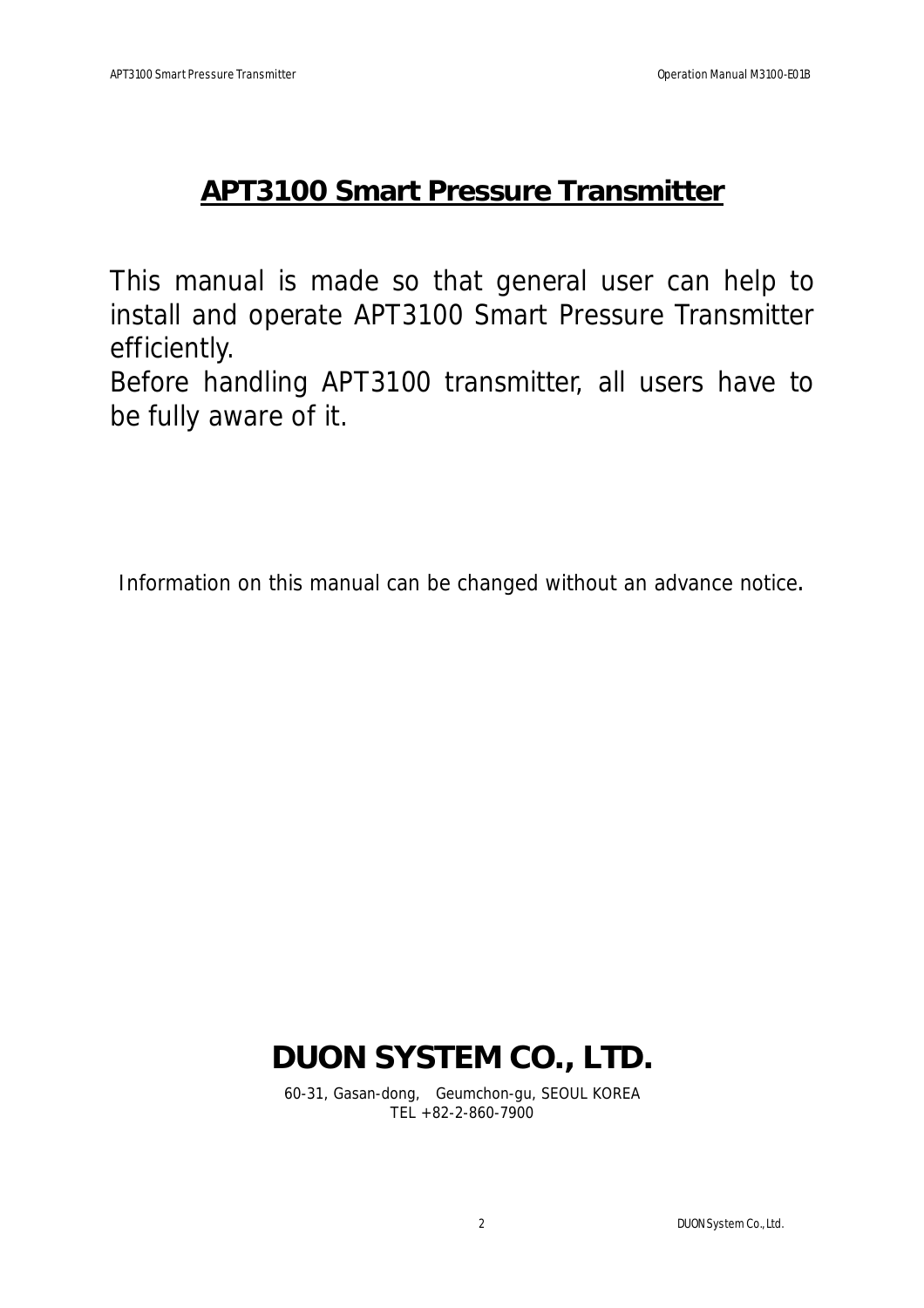# **APT3100 Smart Pressure Transmitter**

This manual is made so that general user can help to install and operate APT3100 Smart Pressure Transmitter efficiently.

Before handling APT3100 transmitter, all users have to be fully aware of it.

Information on this manual can be changed without an advance notice.

# **DUON SYSTEM CO., LTD.**

60-31, Gasan-dong, Geumchon-gu, SEOUL KOREA TEL +82-2-860-7900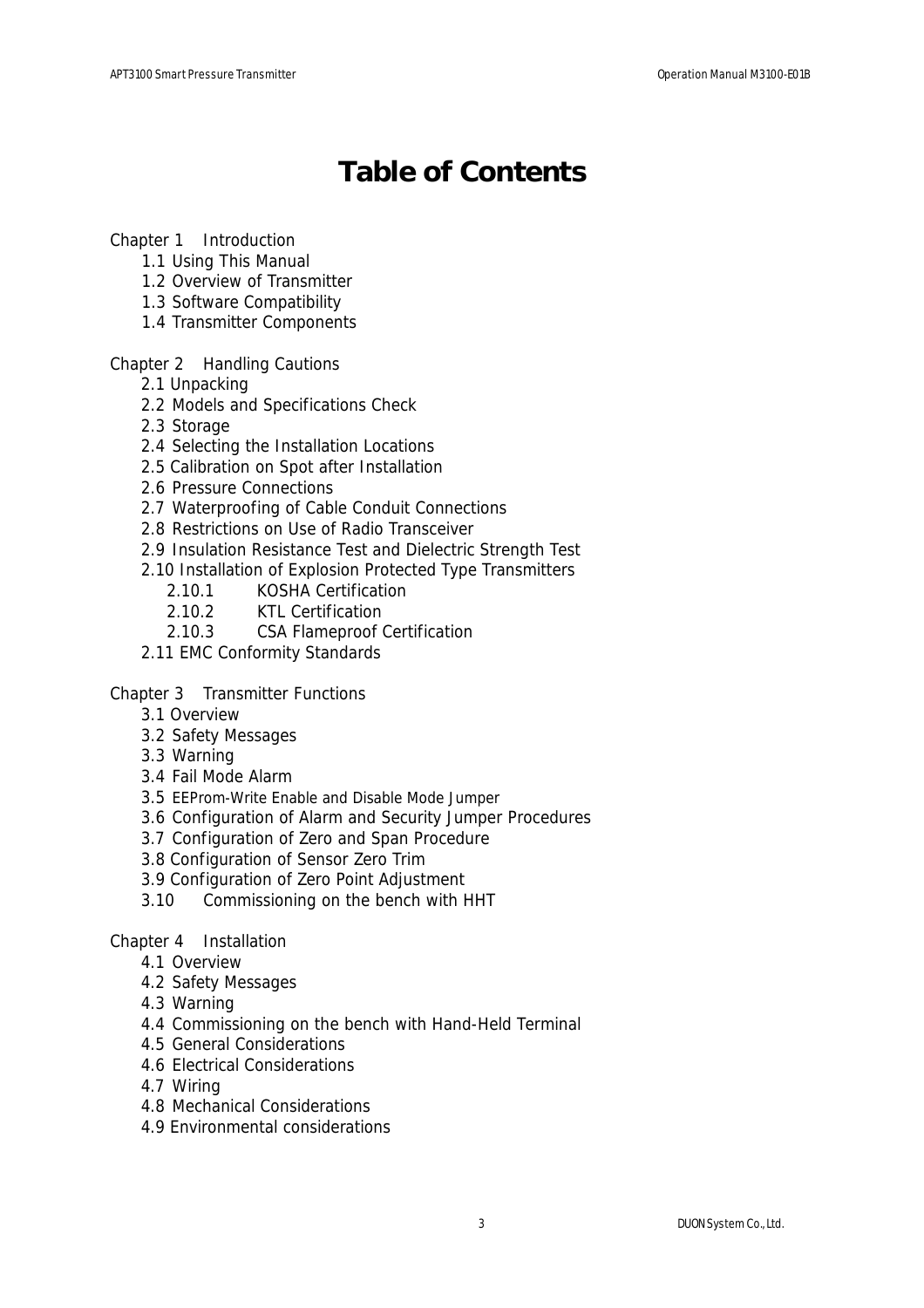# **Table of Contents**

#### Chapter 1 Introduction

- 1.1 Using This Manual
- 1.2 Overview of Transmitter
- 1.3 Software Compatibility
- 1.4 Transmitter Components

#### Chapter 2 Handling Cautions

- 2.1 Unpacking
- 2.2 Models and Specifications Check
- 2.3 Storage
- 2.4 Selecting the Installation Locations
- 2.5 Calibration on Spot after Installation
- 2.6 Pressure Connections
- 2.7 Waterproofing of Cable Conduit Connections
- 2.8 Restrictions on Use of Radio Transceiver
- 2.9 Insulation Resistance Test and Dielectric Strength Test
- 2.10 Installation of Explosion Protected Type Transmitters
	- 2.10.1 KOSHA Certification
	- 2.10.2 KTL Certification
	- 2.10.3 CSA Flameproof Certification
- 2.11 EMC Conformity Standards

#### Chapter 3 Transmitter Functions

- 3.1 Overview
- 3.2 Safety Messages
- 3.3 Warning
- 3.4 Fail Mode Alarm
- 3.5 EEProm-Write Enable and Disable Mode Jumper
- 3.6 Configuration of Alarm and Security Jumper Procedures
- 3.7 Configuration of Zero and Span Procedure
- 3.8 Configuration of Sensor Zero Trim
- 3.9 Configuration of Zero Point Adjustment
- 3.10 Commissioning on the bench with HHT

#### Chapter 4 Installation

- 4.1 Overview
- 4.2 Safety Messages
- 4.3 Warning
- 4.4 Commissioning on the bench with Hand-Held Terminal
- 4.5 General Considerations
- 4.6 Electrical Considerations
- 4.7 Wiring
- 4.8 Mechanical Considerations
- 4.9 Environmental considerations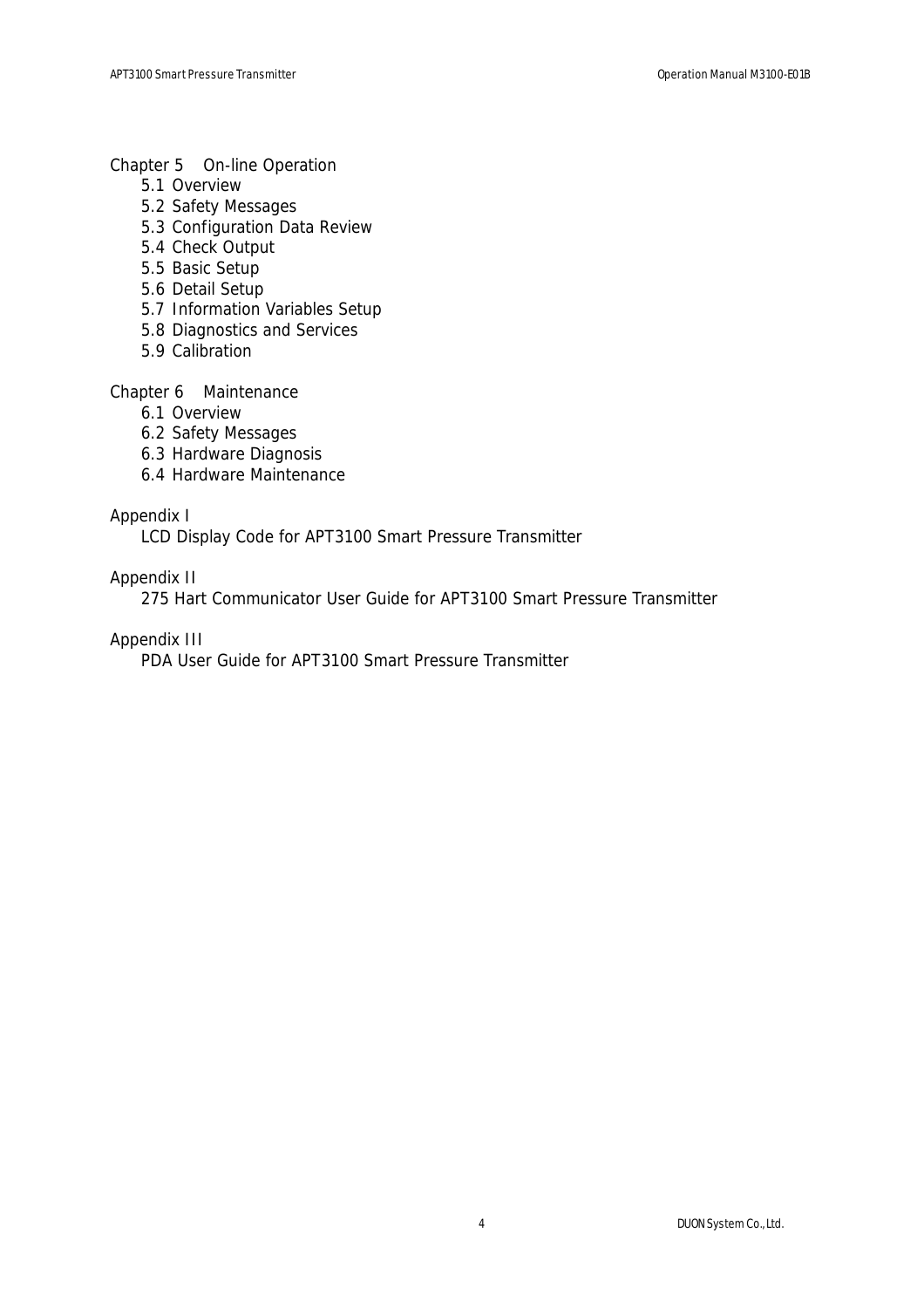#### Chapter 5 On-line Operation

- 5.1 Overview
- 5.2 Safety Messages
- 5.3 Configuration Data Review
- 5.4 Check Output
- 5.5 Basic Setup
- 5.6 Detail Setup
- 5.7 Information Variables Setup
- 5.8 Diagnostics and Services
- 5.9 Calibration

#### Chapter 6 Maintenance

- 6.1 Overview
- 6.2 Safety Messages
- 6.3 Hardware Diagnosis
- 6.4 Hardware Maintenance

### Appendix I

LCD Display Code for APT3100 Smart Pressure Transmitter

### Appendix II

275 Hart Communicator User Guide for APT3100 Smart Pressure Transmitter

### Appendix III

PDA User Guide for APT3100 Smart Pressure Transmitter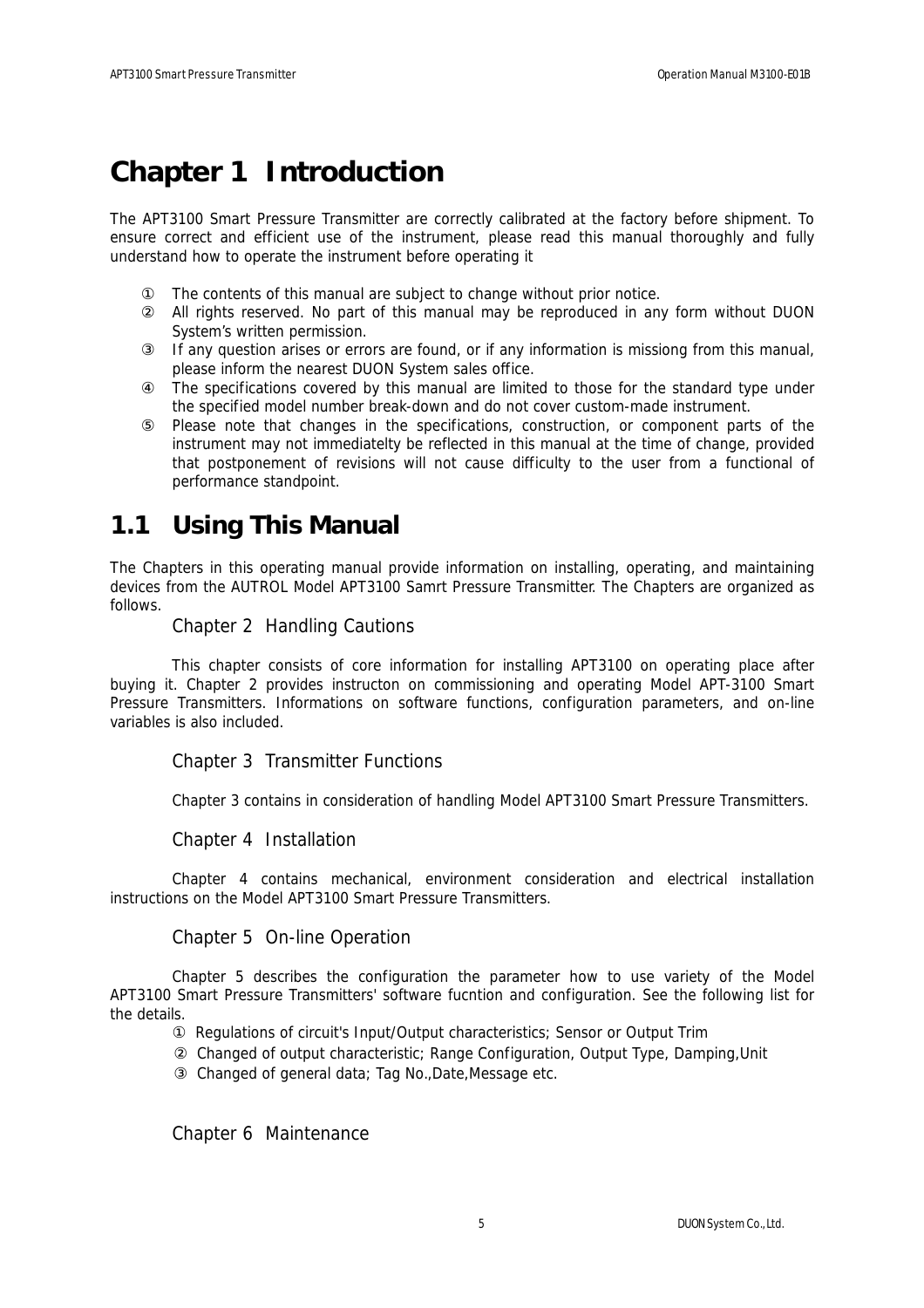## **Chapter 1 Introduction**

The APT3100 Smart Pressure Transmitter are correctly calibrated at the factory before shipment. To ensure correct and efficient use of the instrument, please read this manual thoroughly and fully understand how to operate the instrument before operating it

The contents of this manual are subject to change without prior notice.

All rights reserved. No part of this manual may be reproduced in any form without DUON System's written permission.

If any question arises or errors are found, or if any information is missiong from this manual, please inform the nearest DUON System sales office.

The specifications covered by this manual are limited to those for the standard type under the specified model number break-down and do not cover custom-made instrument.

Please note that changes in the specifications, construction, or component parts of the instrument may not immediatelty be reflected in this manual at the time of change, provided that postponement of revisions will not cause difficulty to the user from a functional of performance standpoint.

## **1.1 Using This Manual**

The Chapters in this operating manual provide information on installing, operating, and maintaining devices from the AUTROL Model APT3100 Samrt Pressure Transmitter. The Chapters are organized as follows.

#### Chapter 2 Handling Cautions

 This chapter consists of core information for installing APT3100 on operating place after buying it. Chapter 2 provides instructon on commissioning and operating Model APT-3100 Smart Pressure Transmitters. Informations on software functions, configuration parameters, and on-line variables is also included.

#### Chapter 3 Transmitter Functions

Chapter 3 contains in consideration of handling Model APT3100 Smart Pressure Transmitters.

Chapter 4 Installation

Chapter 4 contains mechanical, environment consideration and electrical installation instructions on the Model APT3100 Smart Pressure Transmitters.

#### Chapter 5 On-line Operation

Chapter 5 describes the configuration the parameter how to use variety of the Model APT3100 Smart Pressure Transmitters' software fucntion and configuration. See the following list for the details.

> Regulations of circuit's Input/Output characteristics; Sensor or Output Trim Changed of output characteristic; Range Configuration, Output Type, Damping,Unit Changed of general data; Tag No.,Date,Message etc.

Chapter 6 Maintenance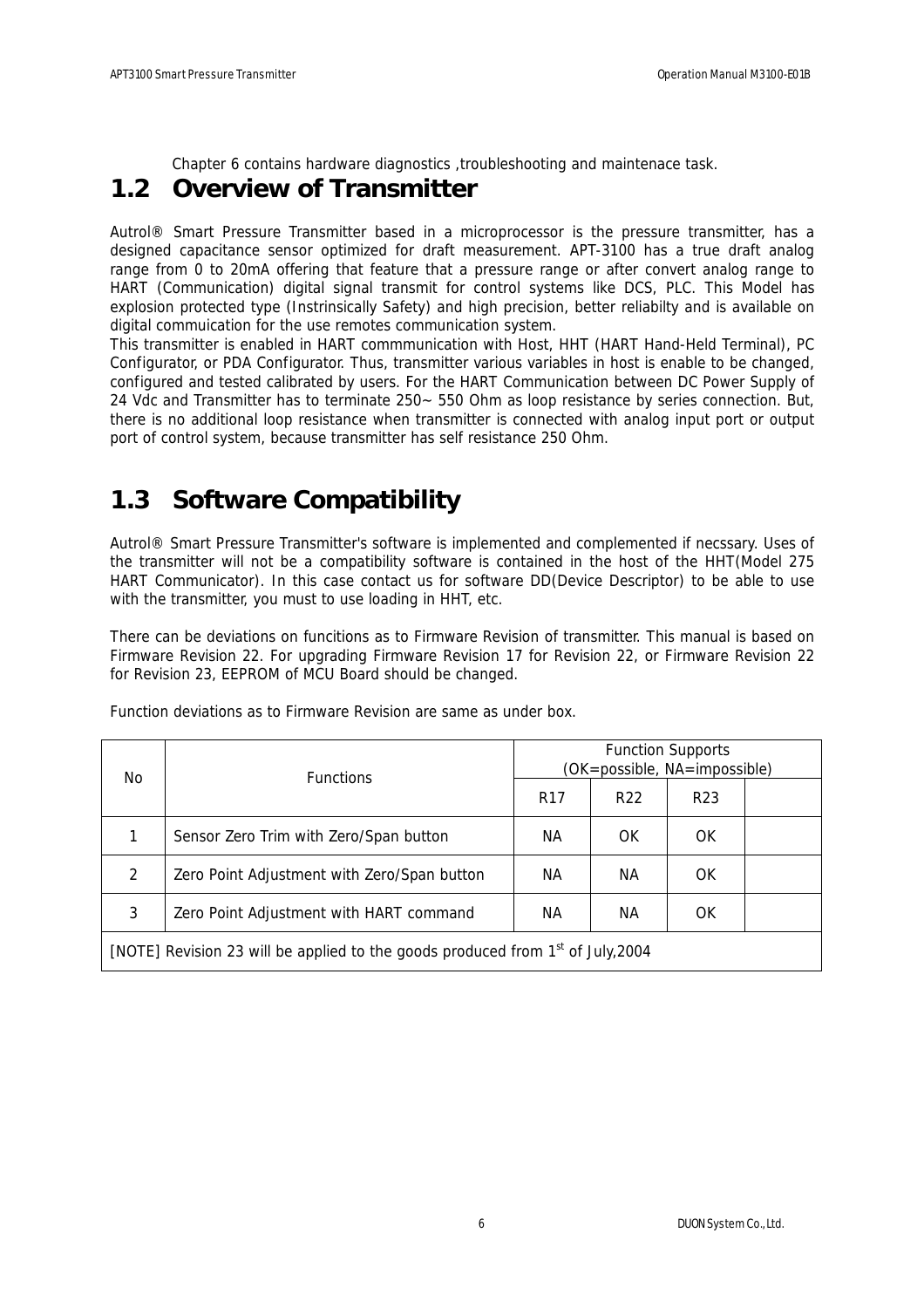Chapter 6 contains hardware diagnostics , troubleshooting and maintenace task.

## **1.2 Overview of Transmitter**

Autrol® Smart Pressure Transmitter based in a microprocessor is the pressure transmitter, has a designed capacitance sensor optimized for draft measurement. APT-3100 has a true draft analog range from 0 to 20mA offering that feature that a pressure range or after convert analog range to HART (Communication) digital signal transmit for control systems like DCS, PLC. This Model has explosion protected type (Instrinsically Safety) and high precision, better reliabilty and is available on digital commuication for the use remotes communication system.

This transmitter is enabled in HART commmunication with Host, HHT (HART Hand-Held Terminal), PC Configurator, or PDA Configurator. Thus, transmitter various variables in host is enable to be changed, configured and tested calibrated by users. For the HART Communication between DC Power Supply of 24 Vdc and Transmitter has to terminate 250~ 550 Ohm as loop resistance by series connection. But, there is no additional loop resistance when transmitter is connected with analog input port or output port of control system, because transmitter has self resistance 250 Ohm.

## **1.3 Software Compatibility**

Autrol® Smart Pressure Transmitter's software is implemented and complemented if necssary. Uses of the transmitter will not be a compatibility software is contained in the host of the HHT(Model 275 HART Communicator). In this case contact us for software DD(Device Descriptor) to be able to use with the transmitter, you must to use loading in HHT, etc.

There can be deviations on funcitions as to Firmware Revision of transmitter. This manual is based on Firmware Revision 22. For upgrading Firmware Revision 17 for Revision 22, or Firmware Revision 22 for Revision 23, EEPROM of MCU Board should be changed.

| No.                                                                                         | <b>Functions</b>                            | <b>Function Supports</b><br>(OK=possible, NA=impossible) |                 |                 |  |
|---------------------------------------------------------------------------------------------|---------------------------------------------|----------------------------------------------------------|-----------------|-----------------|--|
|                                                                                             |                                             | R <sub>17</sub>                                          | R <sub>22</sub> | R <sub>23</sub> |  |
| 1                                                                                           | Sensor Zero Trim with Zero/Span button      | NА                                                       | OK              | OK              |  |
| 2                                                                                           | Zero Point Adjustment with Zero/Span button | NА                                                       | NА              | OK              |  |
| 3<br>Zero Point Adjustment with HART command<br>NА<br>NА<br>OK                              |                                             |                                                          |                 |                 |  |
| [NOTE] Revision 23 will be applied to the goods produced from 1 <sup>st</sup> of July, 2004 |                                             |                                                          |                 |                 |  |

Function deviations as to Firmware Revision are same as under box.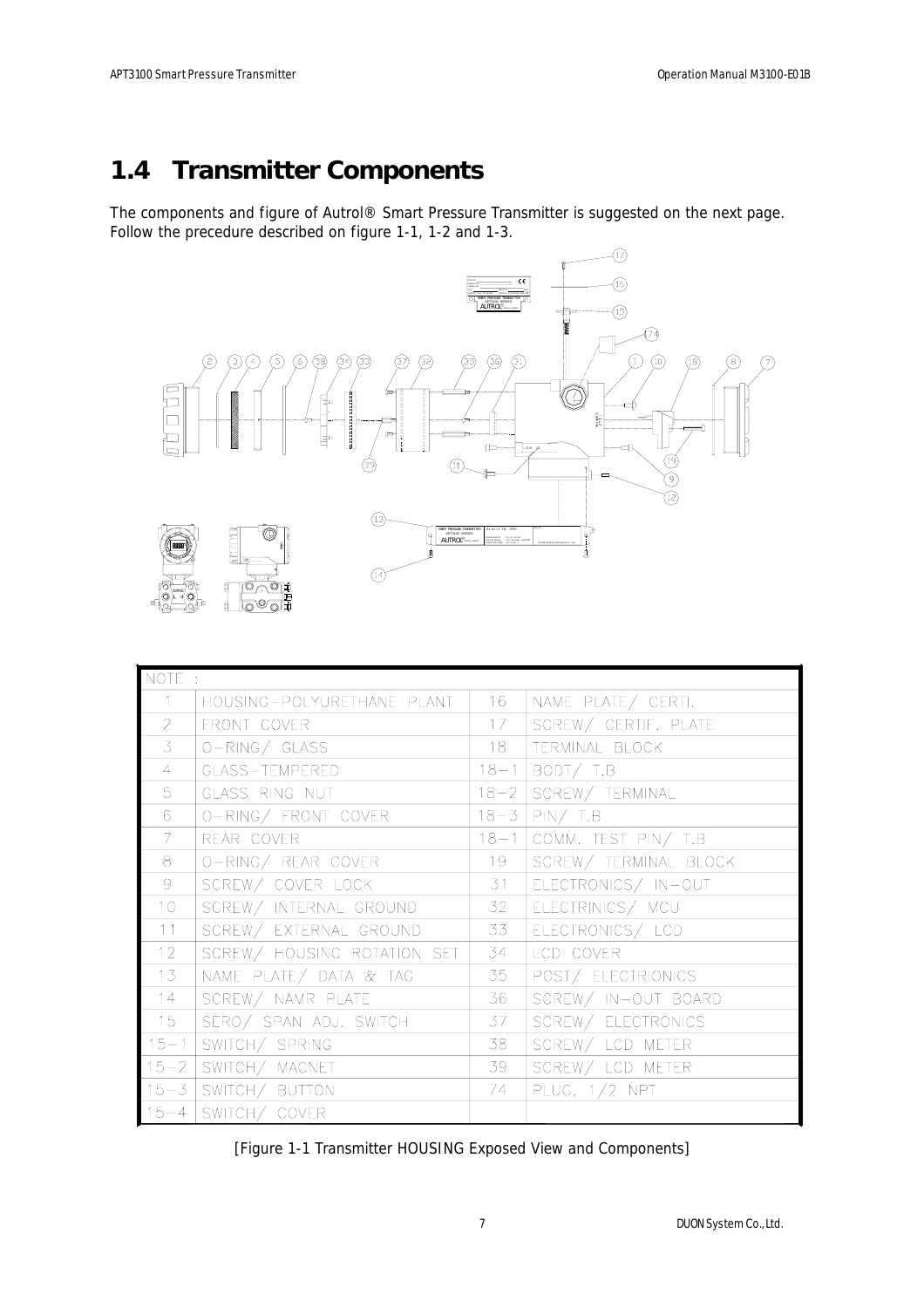## **1.4 Transmitter Components**

The components and figure of Autrol® Smart Pressure Transmitter is suggested on the next page. Follow the precedure described on figure 1-1, 1-2 and 1-3.



| NOTE :         |                             |                 |                          |
|----------------|-----------------------------|-----------------|--------------------------|
| $\mathbf{1}$   | housing-polyurethane plant  | 16              | NAME PLATE/ CERTI.       |
| $\overline{2}$ | FRONT COVER                 | 17 <sup>7</sup> | SCREW/ CERTIF. PLATE     |
| $\overline{3}$ | $ O-RING/ GLASS$            | 18              | TERMINAL BLOCK           |
| $\overline{4}$ | GLASS-TEMPERED              |                 | $18-1$ BODT/T.B          |
| 5              | GLASS RING NUT              |                 | 18-2 SCREW/ TERMINAL     |
| 6              | O-RING/ FRONT COVER         |                 | $18-3$ PIN/T.B           |
| 7 <sup>1</sup> | REAR COVER                  |                 | 18-1 COMM. TEST PIN/ T.B |
| 8              | O-RING/ REAR COVER          | 19              | SCREW/ TERMINAL BLOCK    |
| 9              | SCREW/ COVER LOCK           | 31              | ELECTRONICS/ IN-OUT      |
| 10             | SCREW/ INTERNAL GROUND      | 32              | ELECTRINICS/ MCU         |
| 11             | SCREW/ EXTERNAL GROUND      | 33              | ELECTRONICS/ LCD         |
| 12             | SCREW/ HOUSING ROTATION SET | 34              | LCD COVER                |
| 13             | NAME PLATE/ DATA & TAG      | 35              | POST/ ELECTRIONICS       |
| 14             | SCREW/ NAMR PLATE           | 36              | SCREW/ IN-OUT BOARD      |
| 15             | SERO/ SPAN ADJ. SWITCH      | 37              | SCREW/ ELECTRONICS       |
| $15 - 1$       | SWITCH/ SPRING              | 38              | SCREW/ LCD METER         |
|                | 15-2   SWITCH/ MACNET       | 39              | SCREW/ LCD METER         |
|                | 15-3   SWITCH/ BUTTON       | 74              | PLUG, $1/2$ NPT          |
|                | 15-4   SWITCH/ COVER        |                 |                          |

[Figure 1-1 Transmitter HOUSING Exposed View and Components]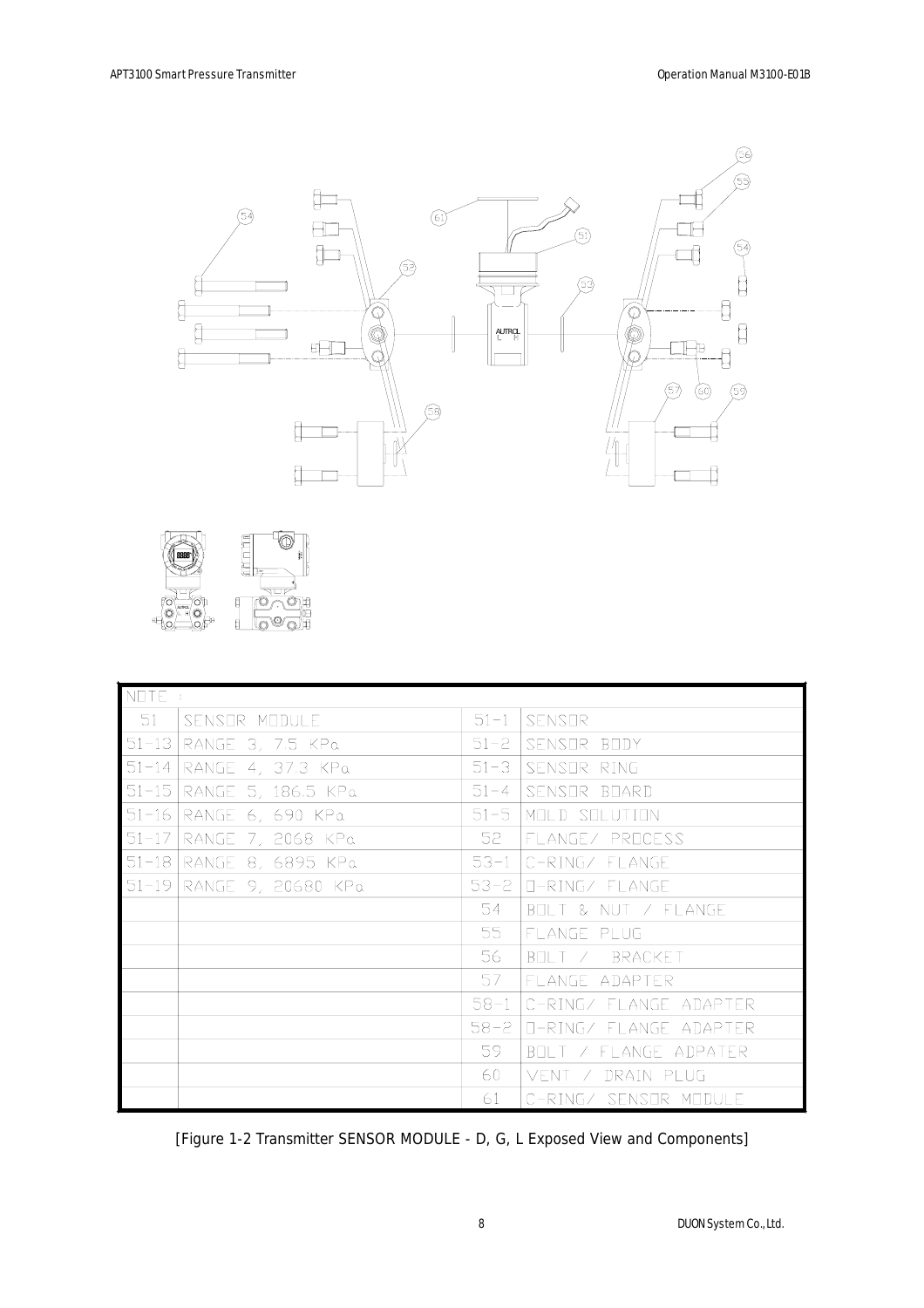



| NOTE:     |                    |          |                               |
|-----------|--------------------|----------|-------------------------------|
| 51        | SENSOR MODULE      | $51 - 1$ | SENSOR                        |
| $51 - 13$ | RANGE 3, 7.5 KPa   | $51 - 2$ | SENSOR BODY                   |
| $51 - 14$ | RANGE 4, 37.3 KPa  | $51 - 3$ | SENSOR RING                   |
| $51 - 15$ | RANGE 5, 186.5 KPa | $51 - 4$ | SENSOR BOARD                  |
| $51 - 16$ | RANGE 6, 690 KPa   | $51 - 5$ | MOLD SOLUTION                 |
| $51 - 17$ | RANGE 7, 2068 KPa  | 52       | FLANGE/ PROCESS               |
| $51 - 18$ | RANGE 8, 6895 KPa  | $53 - 1$ | C-RING/ FLANGE                |
| $51 - 19$ | RANGE 9, 20680 KPa | 53-2     | II-RING/ FLANGE               |
|           |                    | 54       | BOLT & NUT / FLANGE           |
|           |                    | 55       | FLANGE PLUG                   |
|           |                    | 56       | BELLIZ BRACKET                |
|           |                    | 57       | FLANGE ADAPTER                |
|           |                    | $58 - 1$ | C-RING/ FLANGE ADAPTER        |
|           |                    |          | 58-2   O-RING/ FLANGE ADAPTER |
|           |                    | 59.      | BOLT / FLANGE ADPATER         |
|           |                    | 60       | VENT / DRAIN PLUG             |
|           |                    | 61.      | C-RING/ SENSOR MODULE         |

[Figure 1-2 Transmitter SENSOR MODULE - D, G, L Exposed View and Components]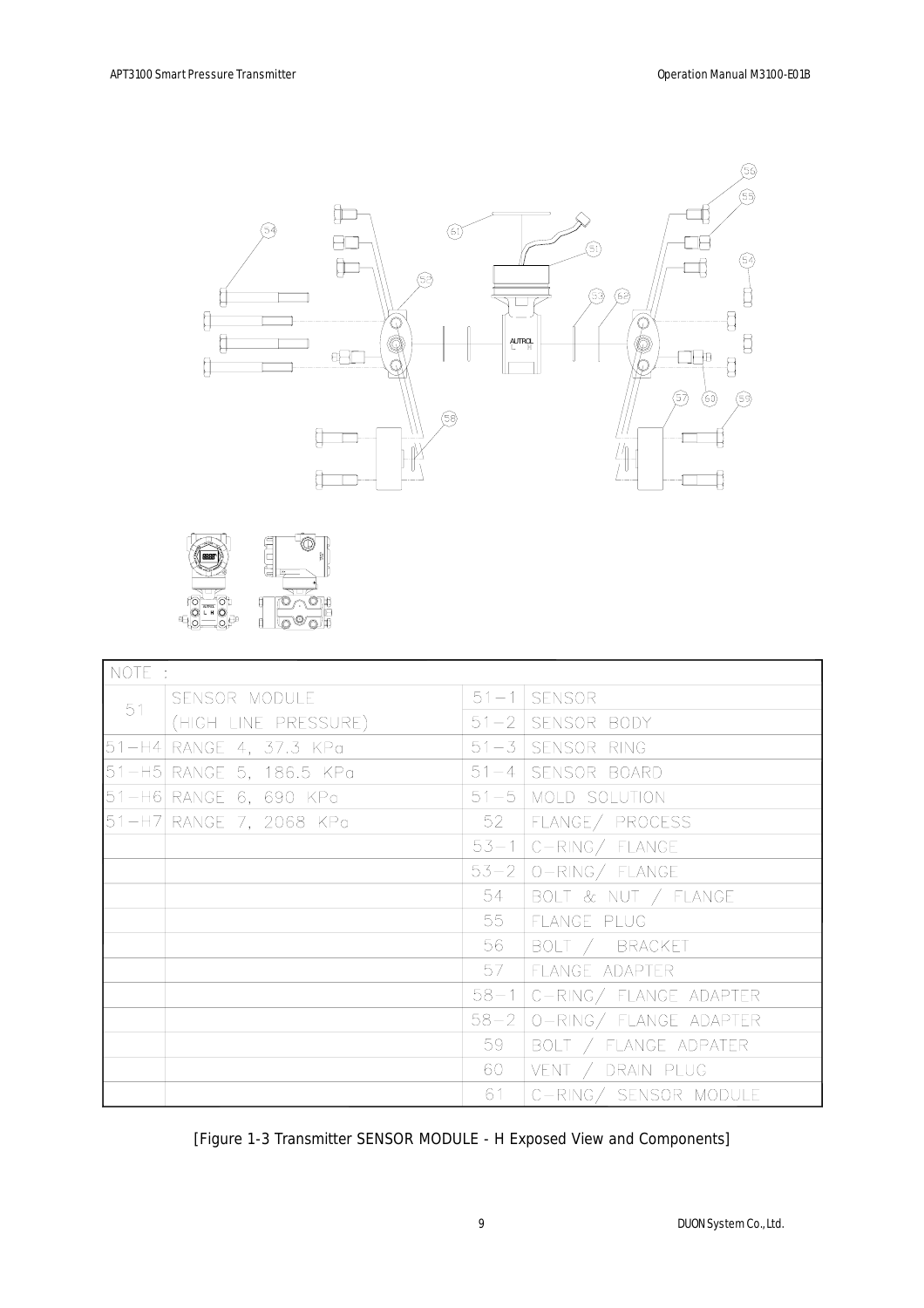



| NOTE : |                          |    |                               |
|--------|--------------------------|----|-------------------------------|
| 51     | SENSOR MODULE            |    | $51 - 1$ SENSOR               |
|        | (HIGH LINE PRESSURE)     |    | $51 - 2$ SENSOR BODY          |
|        | 51-H4 RANGE 4, 37.3 KPa  |    | 51-3 SENSOR RING              |
|        | 51-H5 RANGE 5, 186.5 KPa |    | 51-4 SENSOR BOARD             |
|        | 51-H6 RANGE 6, 690 KPa   |    | $51 - 5$ MOLD SOLUTION        |
|        | 51-H7 RANGE 7, 2068 KPa  | 52 | FLANGE/ PROCESS               |
|        |                          |    | $53-1$ C-RING/ FLANGE         |
|        |                          |    | $53-2$   O-RING/ FLANGE       |
|        |                          | 54 | BOLT & NUT / FLANGE           |
|        |                          | 55 | FLANGE PLUG                   |
|        |                          | 56 | BOLT / BRACKET                |
|        |                          | 57 | FLANGE ADAPTER                |
|        |                          |    | $58-1$ C-RING/ FLANGE ADAPTER |
|        |                          |    | 58-2   O-RING/ FLANGE ADAPTER |
|        |                          | 59 | BOLT / FLANGE ADPATER         |
|        |                          | 60 | VENT / DRAIN PLUG             |
|        |                          | 61 | C-RING/ SENSOR MODULE         |

[Figure 1-3 Transmitter SENSOR MODULE - H Exposed View and Components]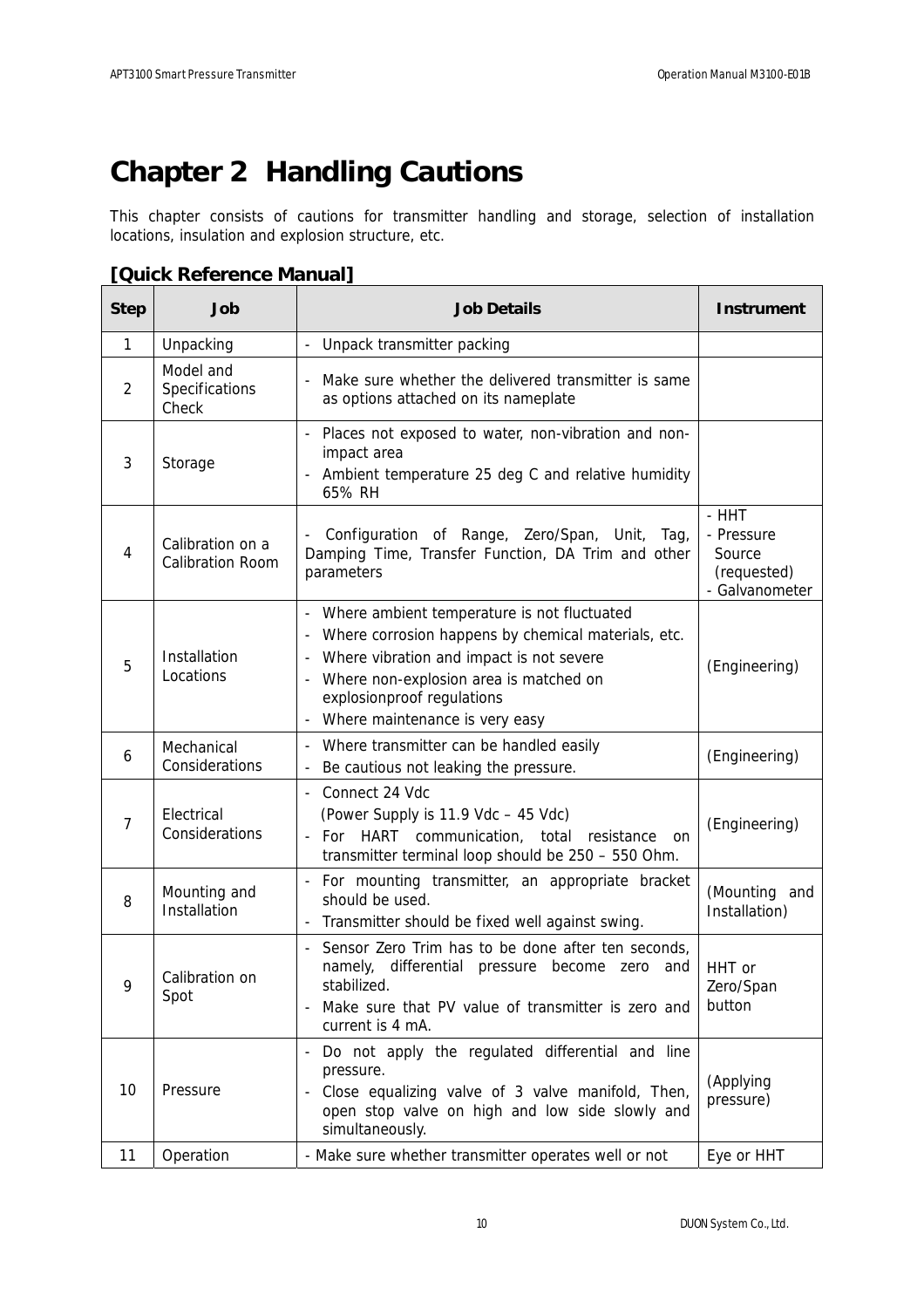# **Chapter 2 Handling Cautions**

This chapter consists of cautions for transmitter handling and storage, selection of installation locations, insulation and explosion structure, etc.

### **[Quick Reference Manual]**

| <b>Step</b>    | Job                                         | <b>Job Details</b>                                                                                                                                                                                                                                                                                               | <b>Instrument</b>                                              |
|----------------|---------------------------------------------|------------------------------------------------------------------------------------------------------------------------------------------------------------------------------------------------------------------------------------------------------------------------------------------------------------------|----------------------------------------------------------------|
| 1              | Unpacking                                   | Unpack transmitter packing                                                                                                                                                                                                                                                                                       |                                                                |
| 2              | Model and<br>Specifications<br>Check        | Make sure whether the delivered transmitter is same<br>$\overline{a}$<br>as options attached on its nameplate                                                                                                                                                                                                    |                                                                |
| 3              | Storage                                     | Places not exposed to water, non-vibration and non-<br>impact area<br>Ambient temperature 25 deg C and relative humidity<br>65% RH                                                                                                                                                                               |                                                                |
| 4              | Calibration on a<br><b>Calibration Room</b> | Configuration of Range, Zero/Span, Unit,<br>Tag,<br>Damping Time, Transfer Function, DA Trim and other<br>parameters                                                                                                                                                                                             | - HHT<br>- Pressure<br>Source<br>(requested)<br>- Galvanometer |
| 5              | Installation<br>Locations                   | Where ambient temperature is not fluctuated<br>Where corrosion happens by chemical materials, etc.<br>Where vibration and impact is not severe<br>$\overline{\phantom{0}}$<br>Where non-explosion area is matched on<br>$\overline{\phantom{a}}$<br>explosionproof regulations<br>Where maintenance is very easy | (Engineering)                                                  |
| 6              | Mechanical<br>Considerations                | Where transmitter can be handled easily<br>Be cautious not leaking the pressure.                                                                                                                                                                                                                                 | (Engineering)                                                  |
| $\overline{7}$ | Electrical<br>Considerations                | Connect 24 Vdc<br>$\blacksquare$<br>(Power Supply is 11.9 Vdc - 45 Vdc)<br>HART communication, total resistance<br>For<br>÷.<br><sub>on</sub><br>transmitter terminal loop should be 250 - 550 Ohm.                                                                                                              | (Engineering)                                                  |
| 8              | Mounting and<br>Installation                | For mounting transmitter, an appropriate bracket<br>$\blacksquare$<br>should be used.<br>Transmitter should be fixed well against swing.                                                                                                                                                                         | (Mounting and<br>Installation)                                 |
| 9              | Calibration on<br>Spot                      | Sensor Zero Trim has to be done after ten seconds,<br>$\blacksquare$<br>namely, differential pressure become zero and<br>stabilized.<br>Make sure that PV value of transmitter is zero and<br>current is 4 mA.                                                                                                   | HHT or<br>Zero/Span<br>button                                  |
| 10             | Pressure                                    | Do not apply the regulated differential and line<br>pressure.<br>Close equalizing valve of 3 valve manifold, Then,<br>open stop valve on high and low side slowly and<br>simultaneously.                                                                                                                         | (Applying<br>pressure)                                         |
| 11             | Operation                                   | - Make sure whether transmitter operates well or not                                                                                                                                                                                                                                                             | Eye or HHT                                                     |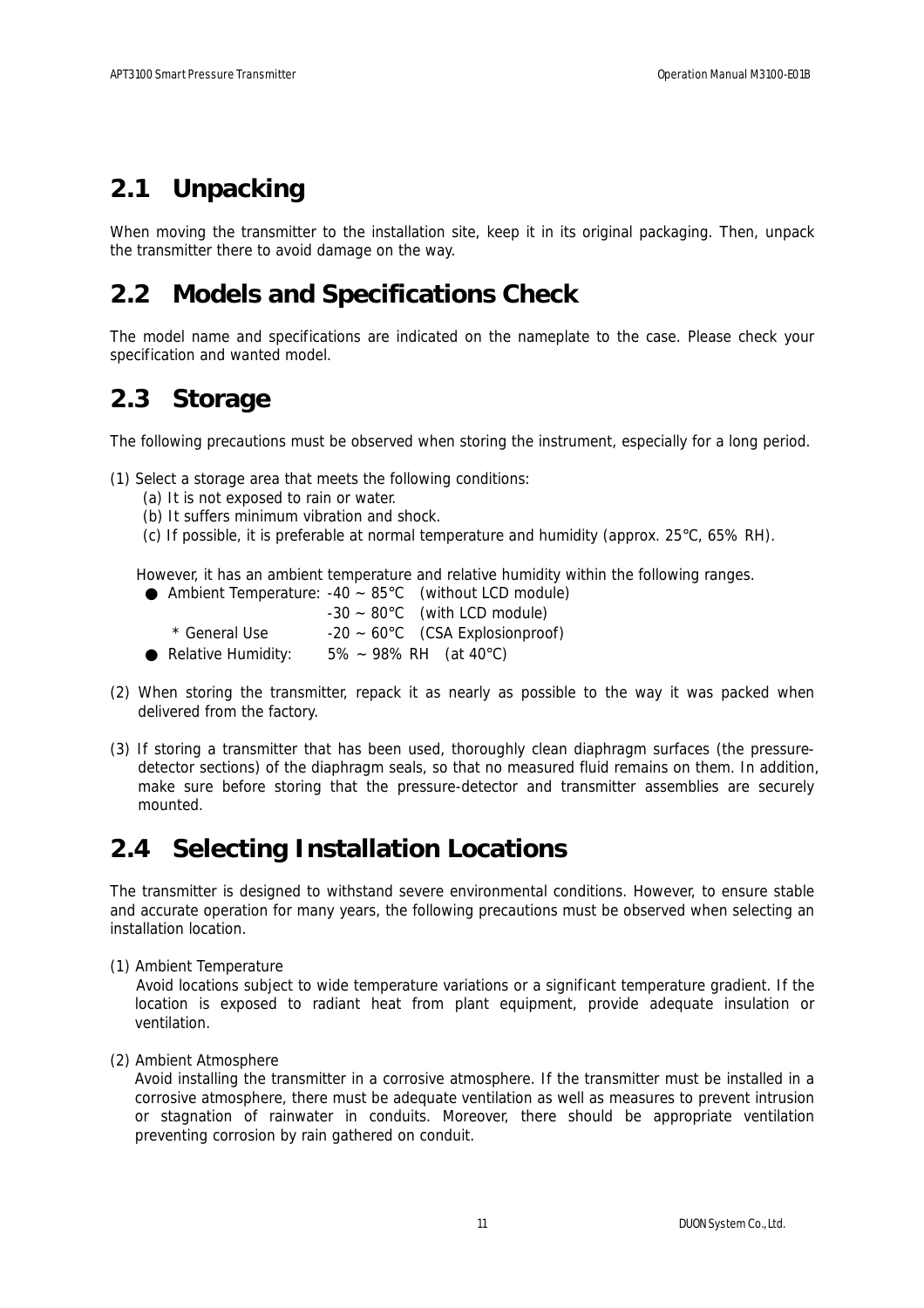## **2.1 Unpacking**

When moving the transmitter to the installation site, keep it in its original packaging. Then, unpack the transmitter there to avoid damage on the way.

## **2.2 Models and Specifications Check**

The model name and specifications are indicated on the nameplate to the case. Please check your specification and wanted model.

## **2.3 Storage**

The following precautions must be observed when storing the instrument, especially for a long period.

(1) Select a storage area that meets the following conditions:

- (a) It is not exposed to rain or water.
- (b) It suffers minimum vibration and shock.
- (c) If possible, it is preferable at normal temperature and humidity (approx. 25°C, 65% RH).

However, it has an ambient temperature and relative humidity within the following ranges.

|                    | Ambient Temperature: $-40 \sim 85^{\circ}$ C (without LCD module) |
|--------------------|-------------------------------------------------------------------|
|                    | $-30 \sim 80^{\circ}$ C (with LCD module)                         |
| * General Use      | $-20 \sim 60^{\circ}$ C (CSA Explosionproof)                      |
| Relative Humidity: | $5\% \sim 98\%$ RH (at 40°C)                                      |

- (2) When storing the transmitter, repack it as nearly as possible to the way it was packed when delivered from the factory.
- (3) If storing a transmitter that has been used, thoroughly clean diaphragm surfaces (the pressuredetector sections) of the diaphragm seals, so that no measured fluid remains on them. In addition, make sure before storing that the pressure-detector and transmitter assemblies are securely mounted.

## **2.4 Selecting Installation Locations**

The transmitter is designed to withstand severe environmental conditions. However, to ensure stable and accurate operation for many years, the following precautions must be observed when selecting an installation location.

(1) Ambient Temperature

Avoid locations subject to wide temperature variations or a significant temperature gradient. If the location is exposed to radiant heat from plant equipment, provide adequate insulation or ventilation.

(2) Ambient Atmosphere

Avoid installing the transmitter in a corrosive atmosphere. If the transmitter must be installed in a corrosive atmosphere, there must be adequate ventilation as well as measures to prevent intrusion or stagnation of rainwater in conduits. Moreover, there should be appropriate ventilation preventing corrosion by rain gathered on conduit.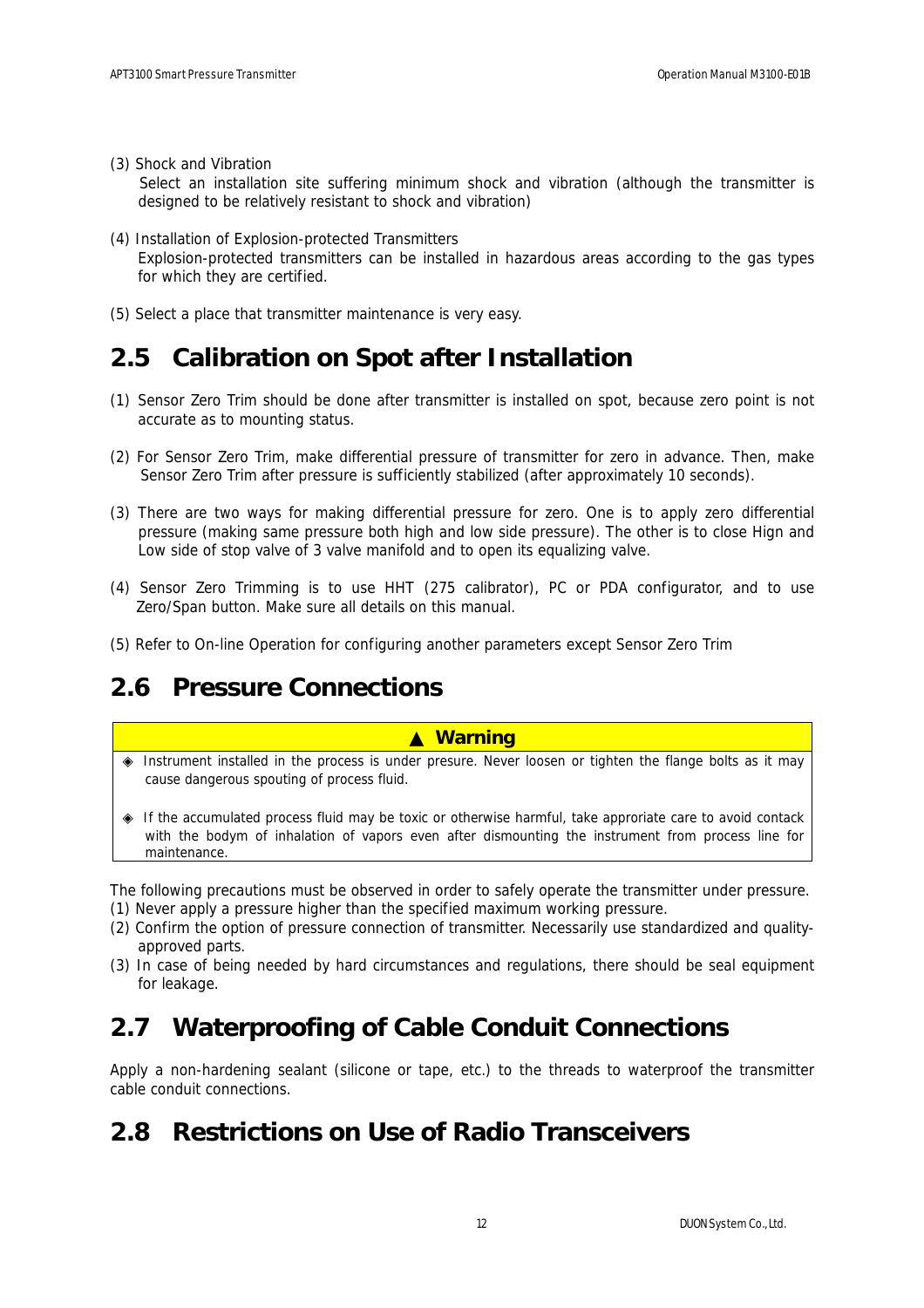(3) Shock and Vibration

Select an installation site suffering minimum shock and vibration (although the transmitter is designed to be relatively resistant to shock and vibration)

- (4) Installation of Explosion-protected Transmitters Explosion-protected transmitters can be installed in hazardous areas according to the gas types for which they are certified.
- (5) Select a place that transmitter maintenance is very easy.

## **2.5 Calibration on Spot after Installation**

- (1) Sensor Zero Trim should be done after transmitter is installed on spot, because zero point is not accurate as to mounting status.
- (2) For Sensor Zero Trim, make differential pressure of transmitter for zero in advance. Then, make Sensor Zero Trim after pressure is sufficiently stabilized (after approximately 10 seconds).
- (3) There are two ways for making differential pressure for zero. One is to apply zero differential pressure (making same pressure both high and low side pressure). The other is to close Hign and Low side of stop valve of 3 valve manifold and to open its equalizing valve.
- (4) Sensor Zero Trimming is to use HHT (275 calibrator), PC or PDA configurator, and to use Zero/Span button. Make sure all details on this manual.
- (5) Refer to On-line Operation for configuring another parameters except Sensor Zero Trim

## **2.6 Pressure Connections**

#### ▲ **Warning**

 Instrument installed in the process is under presure. Never loosen or tighten the flange bolts as it may cause dangerous spouting of process fluid.

 If the accumulated process fluid may be toxic or otherwise harmful, take approriate care to avoid contack with the bodym of inhalation of vapors even after dismounting the instrument from process line for maintenance.

The following precautions must be observed in order to safely operate the transmitter under pressure.

- (1) Never apply a pressure higher than the specified maximum working pressure.
- (2) Confirm the option of pressure connection of transmitter. Necessarily use standardized and qualityapproved parts.
- (3) In case of being needed by hard circumstances and regulations, there should be seal equipment for leakage.

## **2.7 Waterproofing of Cable Conduit Connections**

Apply a non-hardening sealant (silicone or tape, etc.) to the threads to waterproof the transmitter cable conduit connections.

## **2.8 Restrictions on Use of Radio Transceivers**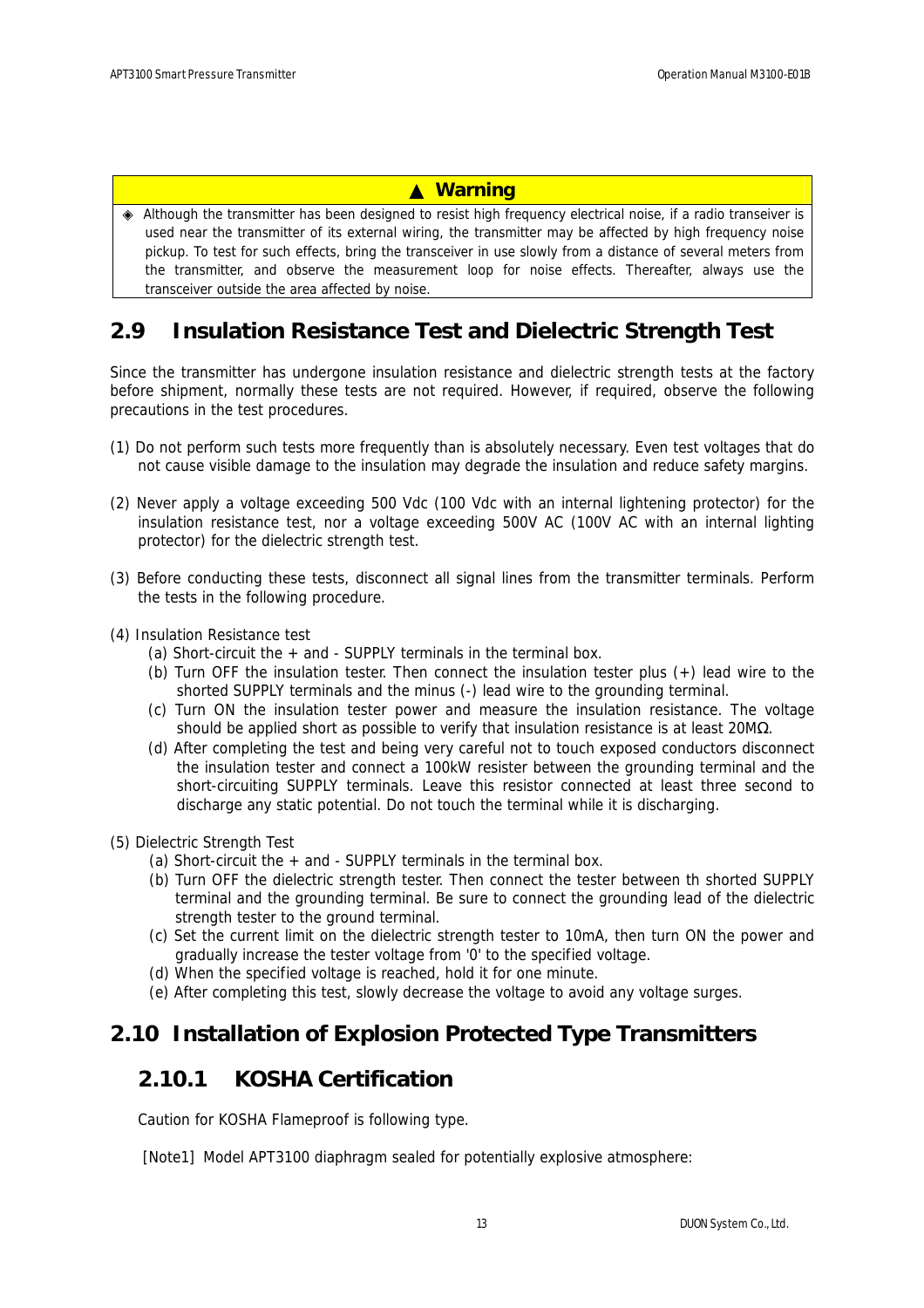### ▲ **Warning**

 Although the transmitter has been designed to resist high frequency electrical noise, if a radio transeiver is used near the transmitter of its external wiring, the transmitter may be affected by high frequency noise pickup. To test for such effects, bring the transceiver in use slowly from a distance of several meters from the transmitter, and observe the measurement loop for noise effects. Thereafter, always use the transceiver outside the area affected by noise.

### **2.9 Insulation Resistance Test and Dielectric Strength Test**

Since the transmitter has undergone insulation resistance and dielectric strength tests at the factory before shipment, normally these tests are not required. However, if required, observe the following precautions in the test procedures.

- (1) Do not perform such tests more frequently than is absolutely necessary. Even test voltages that do not cause visible damage to the insulation may degrade the insulation and reduce safety margins.
- (2) Never apply a voltage exceeding 500 Vdc (100 Vdc with an internal lightening protector) for the insulation resistance test, nor a voltage exceeding 500V AC (100V AC with an internal lighting protector) for the dielectric strength test.
- (3) Before conducting these tests, disconnect all signal lines from the transmitter terminals. Perform the tests in the following procedure.
- (4) Insulation Resistance test
	- (a) Short-circuit the + and SUPPLY terminals in the terminal box.
	- (b) Turn OFF the insulation tester. Then connect the insulation tester plus (+) lead wire to the shorted SUPPLY terminals and the minus (-) lead wire to the grounding terminal.
	- (c) Turn ON the insulation tester power and measure the insulation resistance. The voltage should be applied short as possible to verify that insulation resistance is at least 20M .
	- (d) After completing the test and being very careful not to touch exposed conductors disconnect the insulation tester and connect a 100kW resister between the grounding terminal and the short-circuiting SUPPLY terminals. Leave this resistor connected at least three second to discharge any static potential. Do not touch the terminal while it is discharging.
- (5) Dielectric Strength Test
	- (a) Short-circuit the  $+$  and SUPPLY terminals in the terminal box.
	- (b) Turn OFF the dielectric strength tester. Then connect the tester between th shorted SUPPLY terminal and the grounding terminal. Be sure to connect the grounding lead of the dielectric strength tester to the ground terminal.
	- (c) Set the current limit on the dielectric strength tester to 10mA, then turn ON the power and gradually increase the tester voltage from '0' to the specified voltage.
	- (d) When the specified voltage is reached, hold it for one minute.
	- (e) After completing this test, slowly decrease the voltage to avoid any voltage surges.

### **2.10 Installation of Explosion Protected Type Transmitters**

### **2.10.1 KOSHA Certification**

Caution for KOSHA Flameproof is following type.

[Note1] Model APT3100 diaphragm sealed for potentially explosive atmosphere: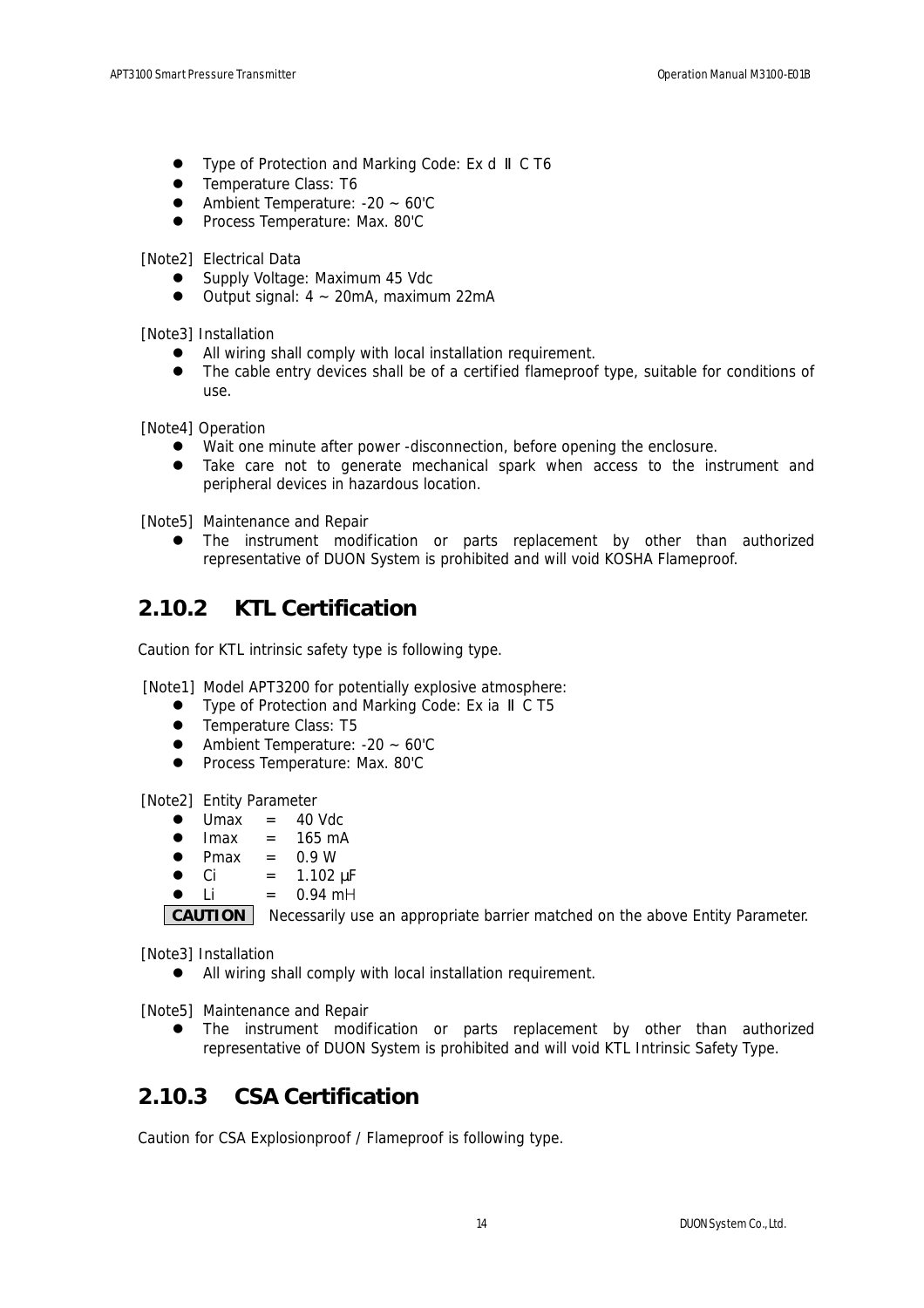- Type of Protection and Marking Code: Ex d C T6
- Temperature Class: T6
- Ambient Temperature: -20 ~ 60'C
- **•** Process Temperature: Max. 80'C

[Note2] Electrical Data

- Supply Voltage: Maximum 45 Vdc
- $\bullet$  Output signal:  $4 \sim 20$ mA, maximum 22mA

[Note3] Installation

- All wiring shall comply with local installation requirement.
- The cable entry devices shall be of a certified flameproof type, suitable for conditions of use.

[Note4] Operation

- Wait one minute after power -disconnection, before opening the enclosure.
- Take care not to generate mechanical spark when access to the instrument and peripheral devices in hazardous location.

[Note5] Maintenance and Repair

• The instrument modification or parts replacement by other than authorized representative of DUON System is prohibited and will void KOSHA Flameproof.

### **2.10.2 KTL Certification**

Caution for KTL intrinsic safety type is following type.

[Note1] Model APT3200 for potentially explosive atmosphere:

- Type of Protection and Marking Code: Ex ia C T5
- Temperature Class: T5
- $\bullet$  Ambient Temperature: -20 ~ 60'C
- **•** Process Temperature: Max. 80'C

[Note2] Entity Parameter

- $Umax = 40$  Vdc
- $\bullet$  Imax = 165 mA
- $\bullet$  Pmax = 0.9 W
- $Ci = 1.102 \text{ }\mu\text{F}$
- $Li = 0.94 \text{ mH}$

**CAUTION** Necessarily use an appropriate barrier matched on the above Entity Parameter.

[Note3] Installation

• All wiring shall comply with local installation requirement.

[Note5] Maintenance and Repair

• The instrument modification or parts replacement by other than authorized representative of DUON System is prohibited and will void KTL Intrinsic Safety Type.

### **2.10.3 CSA Certification**

Caution for CSA Explosionproof / Flameproof is following type.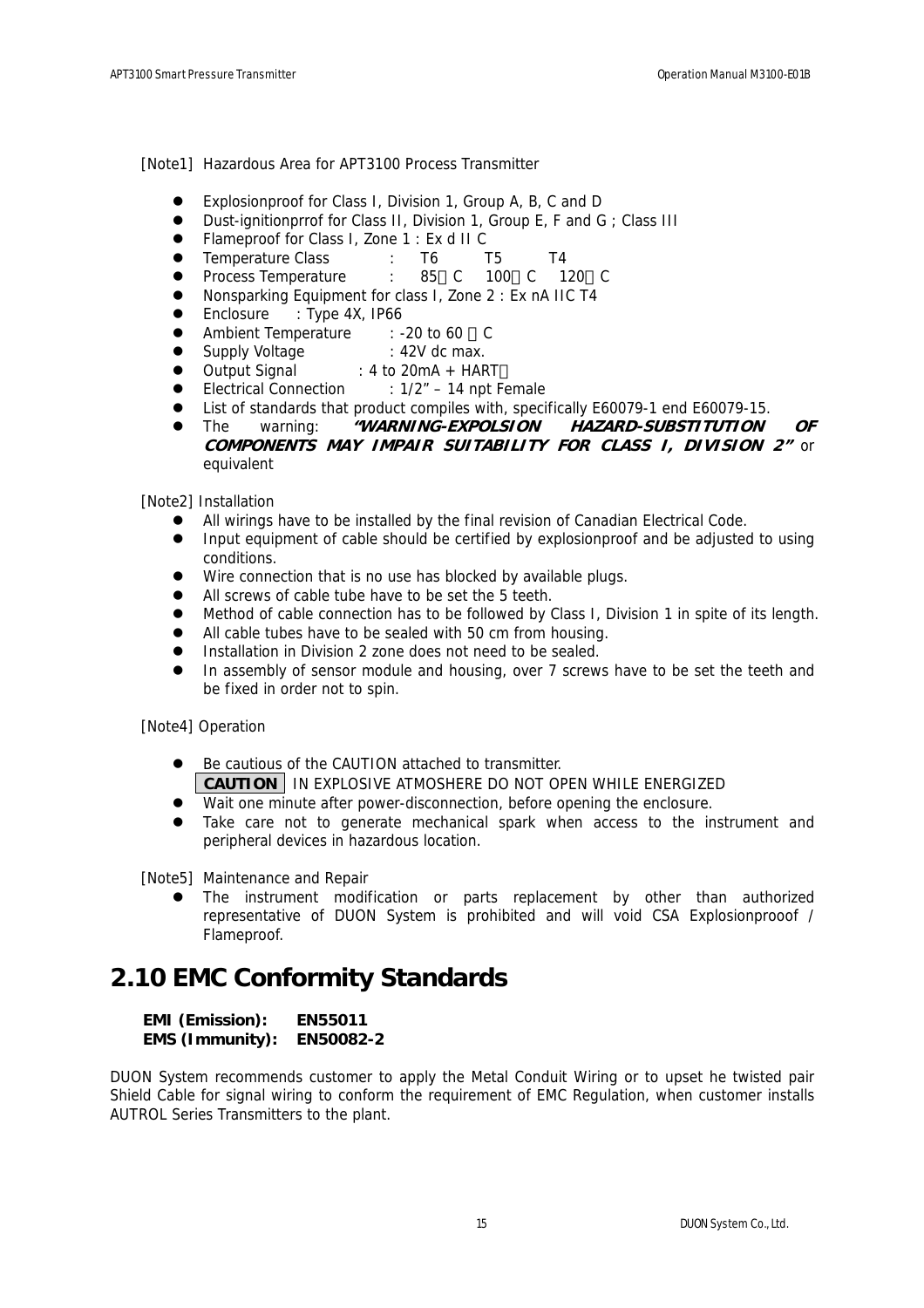[Note1] Hazardous Area for APT3100 Process Transmitter

- Explosionproof for Class I, Division 1, Group A, B, C and D
- Dust-ignitionprrof for Class II, Division 1, Group E, F and G; Class III
- Flameproof for Class I, Zone 1 : Ex d II C
- Temperature Class : T6 T5 T4
- z Process Temperature : 85 C 100 C 120 C
- Nonsparking Equipment for class I, Zone 2 : Ex nA IIC T4
- Enclosure : Type 4X, IP66
- Ambient Temperature : -20 to 60 C
- Supply Voltage : 42V dc max.
- Output Signal : 4 to 20mA + HART
- Electrical Connection : 1/2" 14 npt Female
- List of standards that product compiles with, specifically E60079-1 end E60079-15.
- **•** The warning: **"WARNING-EXPOLSION HAZARD-SUBSTITUTION OF COMPONENTS MAY IMPAIR SUITABILITY FOR CLASS I, DIVISION 2"** or equivalent

[Note2] Installation

- All wirings have to be installed by the final revision of Canadian Electrical Code.
- Input equipment of cable should be certified by explosionproof and be adjusted to using conditions.
- $\bullet$  Wire connection that is no use has blocked by available plugs.
- All screws of cable tube have to be set the 5 teeth.
- Method of cable connection has to be followed by Class I, Division 1 in spite of its length.
- All cable tubes have to be sealed with 50 cm from housing.
- Installation in Division 2 zone does not need to be sealed.
- In assembly of sensor module and housing, over 7 screws have to be set the teeth and be fixed in order not to spin.

[Note4] Operation

- Be cautious of the CAUTION attached to transmitter. **CAUTION** IN EXPLOSIVE ATMOSHERE DO NOT OPEN WHILE ENERGIZED
- Wait one minute after power-disconnection, before opening the enclosure.
- Take care not to generate mechanical spark when access to the instrument and peripheral devices in hazardous location.

[Note5] Maintenance and Repair

The instrument modification or parts replacement by other than authorized representative of DUON System is prohibited and will void CSA Explosionprooof / Flameproof.

## **2.10 EMC Conformity Standards**

**EMI (Emission): EN55011 EMS (Immunity): EN50082-2**

DUON System recommends customer to apply the Metal Conduit Wiring or to upset he twisted pair Shield Cable for signal wiring to conform the requirement of EMC Regulation, when customer installs AUTROL Series Transmitters to the plant.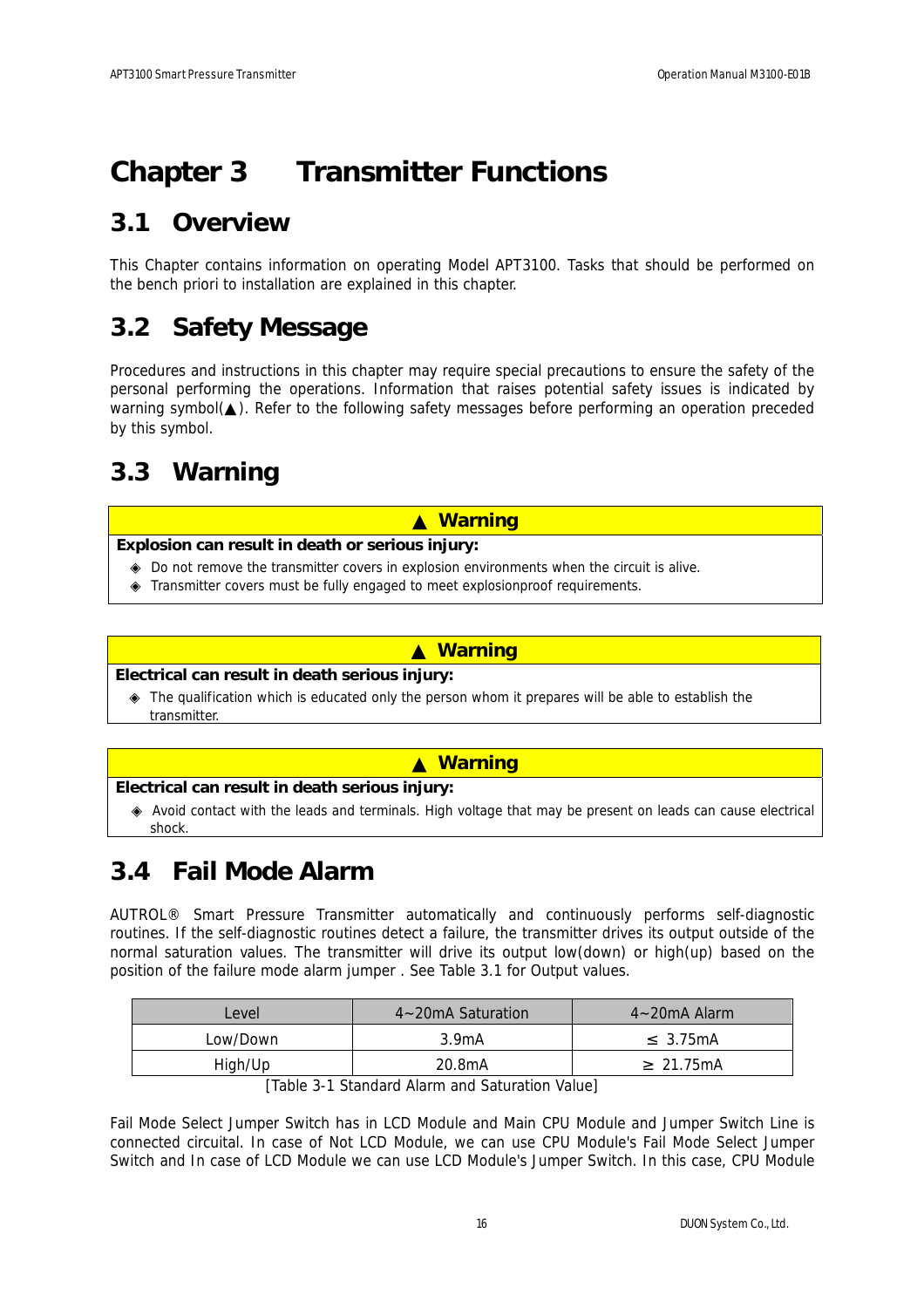# **Chapter 3 Transmitter Functions**

## **3.1 Overview**

This Chapter contains information on operating Model APT3100. Tasks that should be performed on the bench priori to installation are explained in this chapter.

## **3.2 Safety Message**

Procedures and instructions in this chapter may require special precautions to ensure the safety of the personal performing the operations. Information that raises potential safety issues is indicated by warning symbol( ). Refer to the following safety messages before performing an operation preceded by this symbol.

## **3.3 Warning**

### ▲ **Warning**

#### **Explosion can result in death or serious injury:**

 Do not remove the transmitter covers in explosion environments when the circuit is alive. Transmitter covers must be fully engaged to meet explosionproof requirements.

#### ▲ **Warning**

#### **Electrical can result in death serious injury:**

 The qualification which is educated only the person whom it prepares will be able to establish the transmitter.

#### ▲ **Warning**

#### **Electrical can result in death serious injury:**

 Avoid contact with the leads and terminals. High voltage that may be present on leads can cause electrical shock.

## **3.4 Fail Mode Alarm**

AUTROL® Smart Pressure Transmitter automatically and continuously performs self-diagnostic routines. If the self-diagnostic routines detect a failure, the transmitter drives its output outside of the normal saturation values. The transmitter will drive its output low(down) or high(up) based on the position of the failure mode alarm jumper . See Table 3.1 for Output values.

| Level    | $4 - 20$ mA Saturation | $4 - 20$ mA Alarm |
|----------|------------------------|-------------------|
| Low/Down | 3.9 <sub>m</sub> A     | 3.75mA            |
| High/Up  | 20.8mA                 | 21.75mA           |

[Table 3-1 Standard Alarm and Saturation Value]

Fail Mode Select Jumper Switch has in LCD Module and Main CPU Module and Jumper Switch Line is connected circuital. In case of Not LCD Module, we can use CPU Module's Fail Mode Select Jumper Switch and In case of LCD Module we can use LCD Module's Jumper Switch. In this case, CPU Module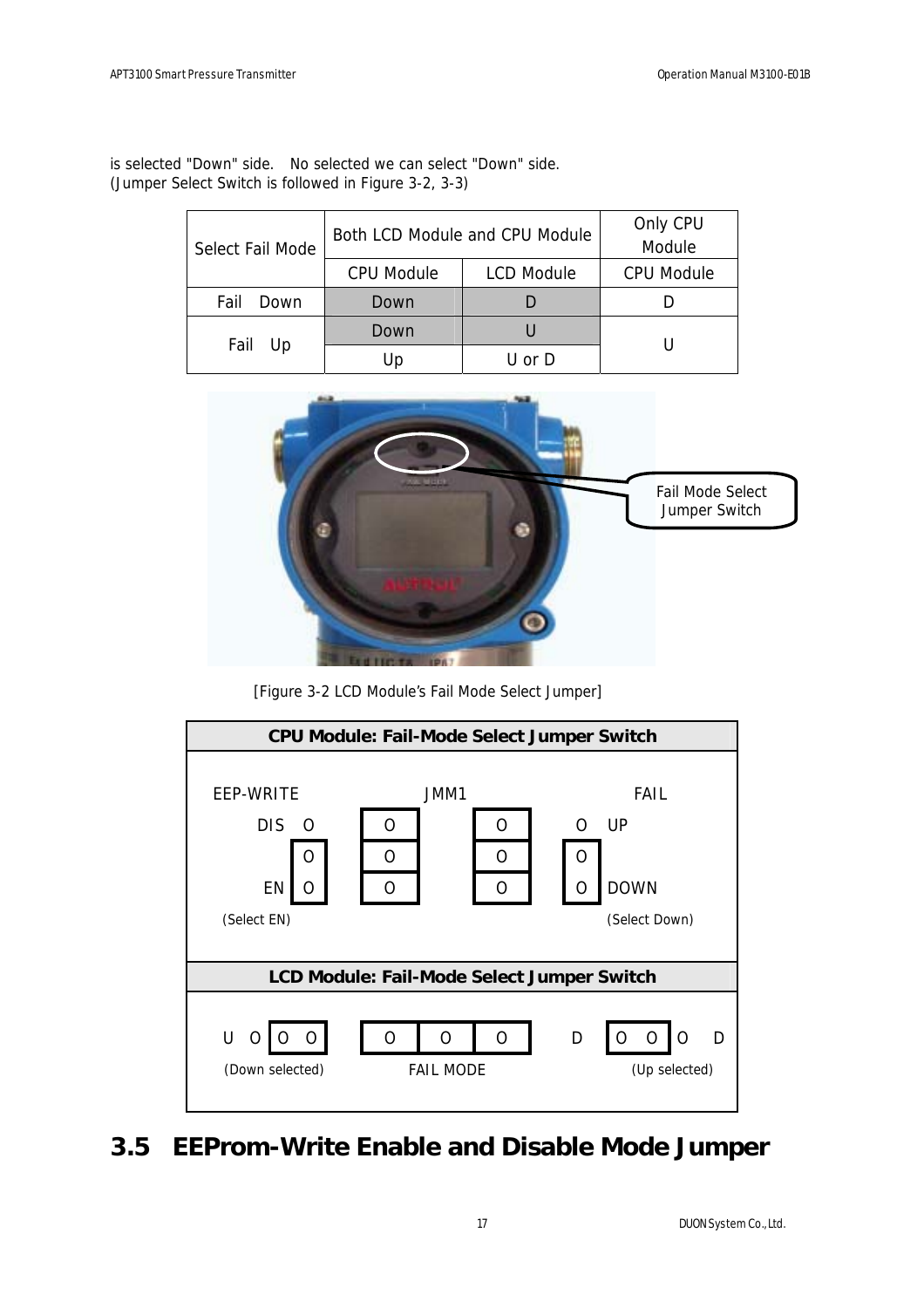|                  | Both LCD Module and CPU Module | Only CPU          |                   |
|------------------|--------------------------------|-------------------|-------------------|
| Select Fail Mode |                                | Module            |                   |
|                  | <b>CPU Module</b>              | <b>LCD Module</b> | <b>CPU Module</b> |
| Fail<br>Down     | Down                           |                   |                   |
|                  | Down                           |                   |                   |
| Fail Up          | Up                             | U or D            |                   |

is selected "Down" side. No selected we can select "Down" side. (Jumper Select Switch is followed in Figure 3-2, 3-3)



[Figure 3-2 LCD Module's Fail Mode Select Jumper]



## **3.5 EEProm-Write Enable and Disable Mode Jumper**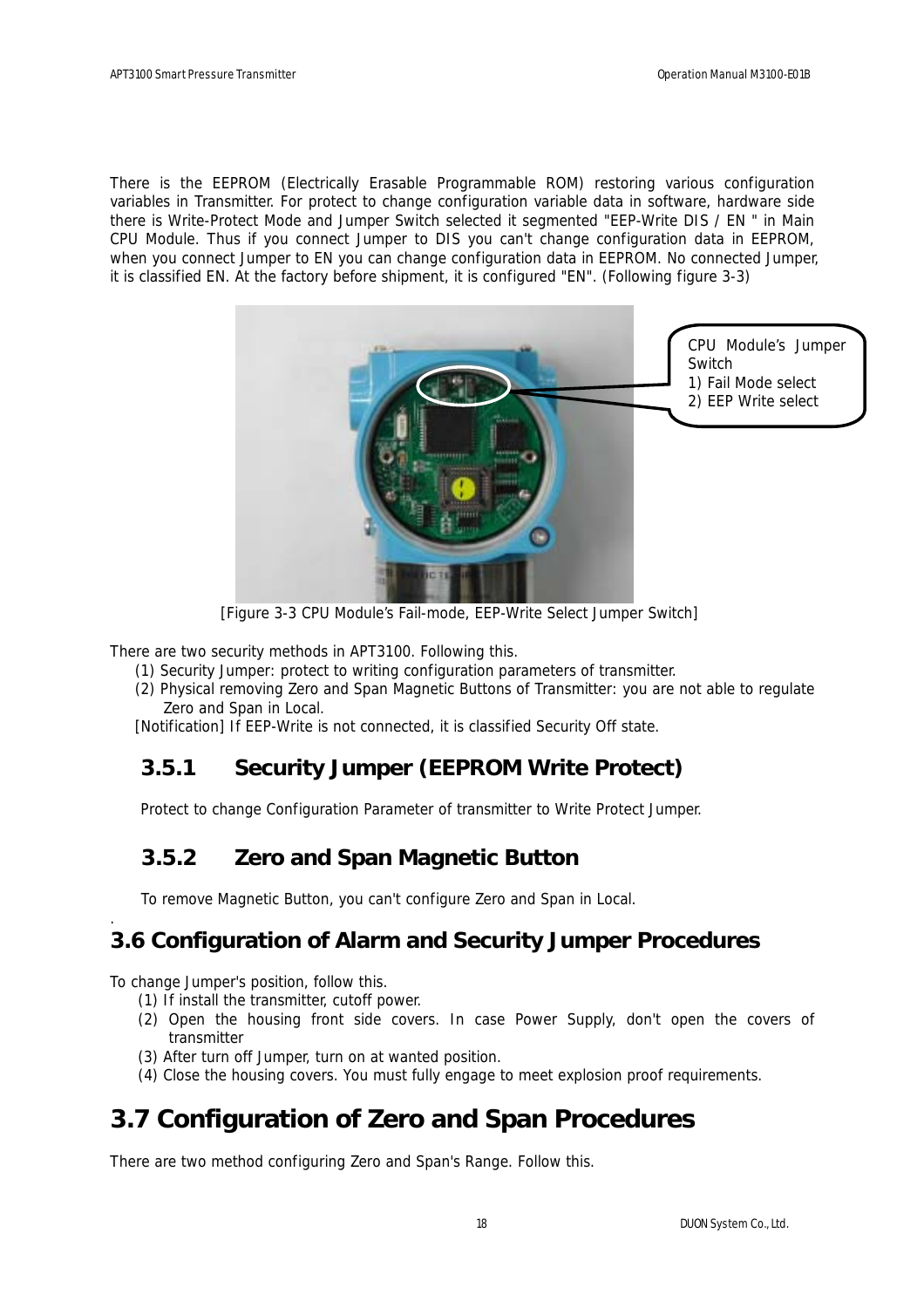There is the EEPROM (Electrically Erasable Programmable ROM) restoring various configuration variables in Transmitter. For protect to change configuration variable data in software, hardware side there is Write-Protect Mode and Jumper Switch selected it segmented "EEP-Write DIS / EN " in Main CPU Module. Thus if you connect Jumper to DIS you can't change configuration data in EEPROM, when you connect Jumper to EN you can change configuration data in EEPROM. No connected Jumper, it is classified EN. At the factory before shipment, it is configured "EN". (Following figure 3-3)



[Figure 3-3 CPU Module's Fail-mode, EEP-Write Select Jumper Switch]

There are two security methods in APT3100. Following this.

- (1) Security Jumper: protect to writing configuration parameters of transmitter.
- (2) Physical removing Zero and Span Magnetic Buttons of Transmitter: you are not able to regulate Zero and Span in Local.

[Notification] If EEP-Write is not connected, it is classified Security Off state.

### **3.5.1 Security Jumper (EEPROM Write Protect)**

Protect to change Configuration Parameter of transmitter to Write Protect Jumper.

### **3.5.2 Zero and Span Magnetic Button**

To remove Magnetic Button, you can't configure Zero and Span in Local.

### **3.6 Configuration of Alarm and Security Jumper Procedures**

To change Jumper's position, follow this.

.

- (1) If install the transmitter, cutoff power.
- (2) Open the housing front side covers. In case Power Supply, don't open the covers of transmitter
- (3) After turn off Jumper, turn on at wanted position.
- (4) Close the housing covers. You must fully engage to meet explosion proof requirements.

## **3.7 Configuration of Zero and Span Procedures**

There are two method configuring Zero and Span's Range. Follow this.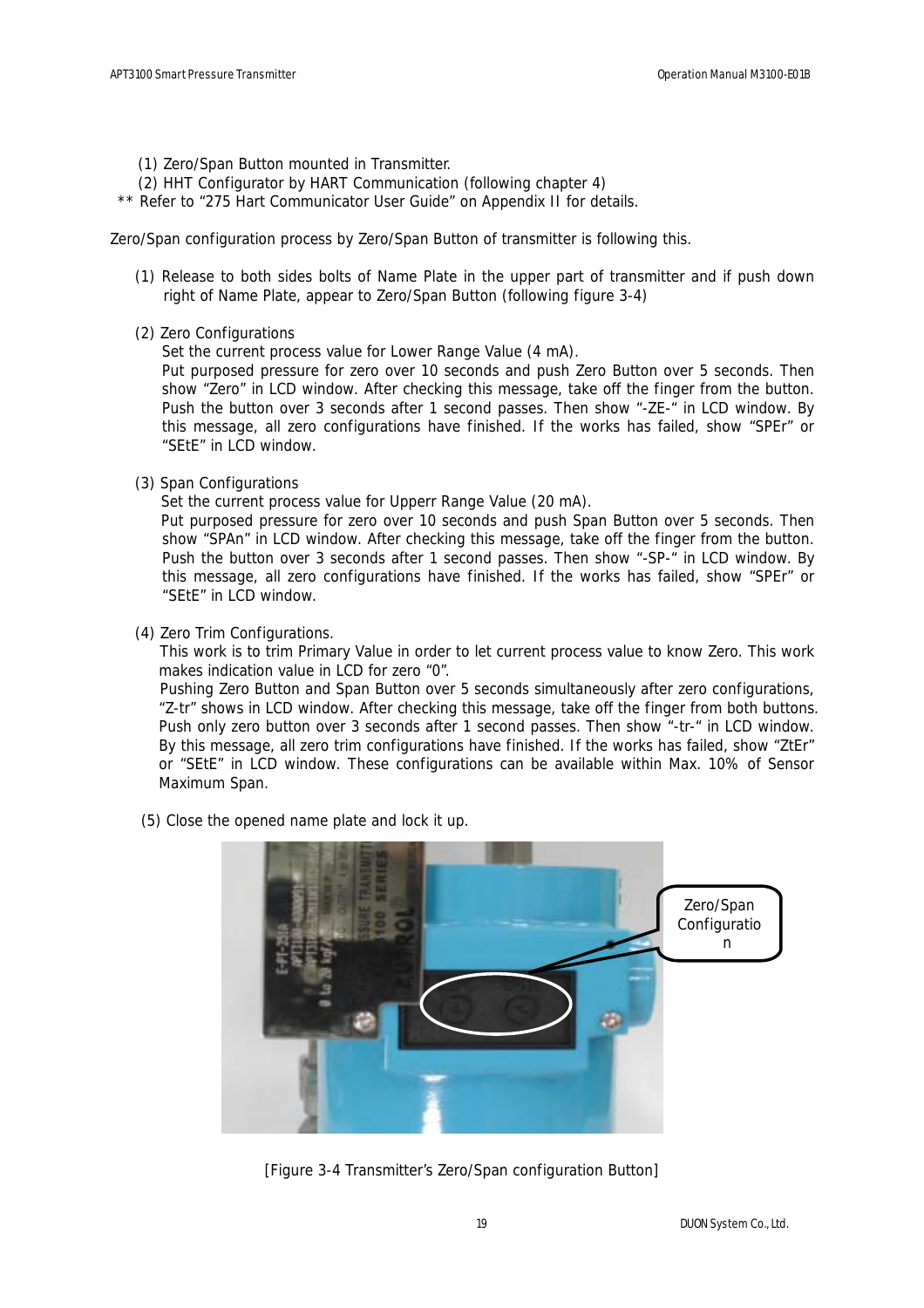- (1) Zero/Span Button mounted in Transmitter.
- (2) HHT Configurator by HART Communication (following chapter 4)
- \*\* Refer to "275 Hart Communicator User Guide" on Appendix II for details.

Zero/Span configuration process by Zero/Span Button of transmitter is following this.

- (1) Release to both sides bolts of Name Plate in the upper part of transmitter and if push down right of Name Plate, appear to Zero/Span Button (following figure 3-4)
- (2) Zero Configurations

Set the current process value for Lower Range Value (4 mA).

Put purposed pressure for zero over 10 seconds and push Zero Button over 5 seconds. Then show "Zero" in LCD window. After checking this message, take off the finger from the button. Push the button over 3 seconds after 1 second passes. Then show "-ZE-" in LCD window. By this message, all zero configurations have finished. If the works has failed, show "SPEr" or "SEtE" in LCD window.

(3) Span Configurations

Set the current process value for Upperr Range Value (20 mA).

Put purposed pressure for zero over 10 seconds and push Span Button over 5 seconds. Then show "SPAn" in LCD window. After checking this message, take off the finger from the button. Push the button over 3 seconds after 1 second passes. Then show "-SP-" in LCD window. By this message, all zero configurations have finished. If the works has failed, show "SPEr" or "SEtE" in LCD window.

(4) Zero Trim Configurations.

This work is to trim Primary Value in order to let current process value to know Zero. This work makes indication value in LCD for zero "0".

Pushing Zero Button and Span Button over 5 seconds simultaneously after zero configurations, "Z-tr" shows in LCD window. After checking this message, take off the finger from both buttons. Push only zero button over 3 seconds after 1 second passes. Then show "-tr-" in LCD window. By this message, all zero trim configurations have finished. If the works has failed, show "ZtEr" or "SEtE" in LCD window. These configurations can be available within Max. 10% of Sensor Maximum Span.

(5) Close the opened name plate and lock it up.



[Figure 3-4 Transmitter's Zero/Span configuration Button]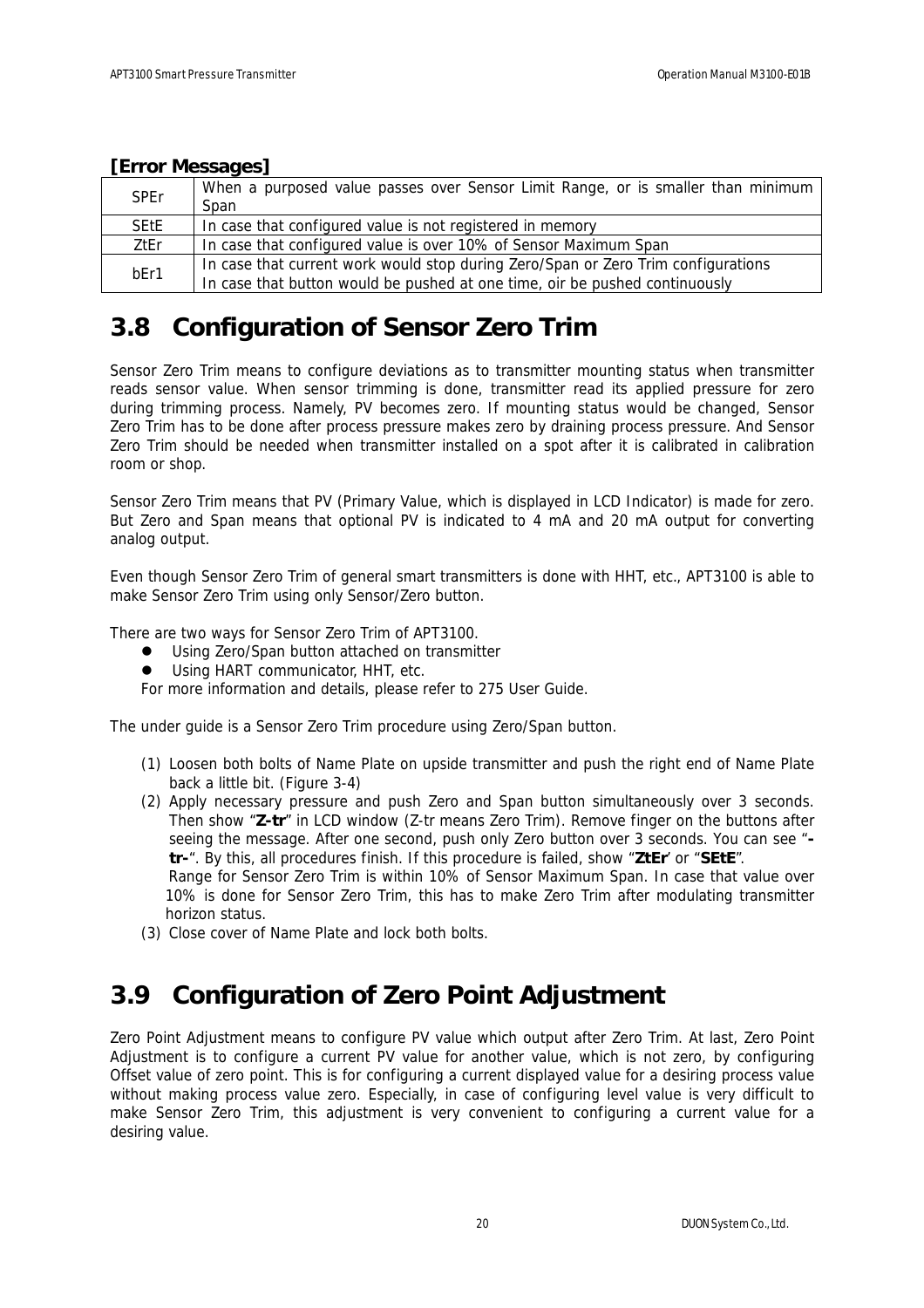| <b>SPEr</b> | When a purposed value passes over Sensor Limit Range, or is smaller than minimum  |
|-------------|-----------------------------------------------------------------------------------|
|             | Span                                                                              |
| <b>SEtE</b> | In case that configured value is not registered in memory                         |
| ZtEr        | In case that configured value is over 10% of Sensor Maximum Span                  |
| bEr1        | In case that current work would stop during Zero/Span or Zero Trim configurations |
|             | In case that button would be pushed at one time, oir be pushed continuously       |

### **[Error Messages]**

## **3.8 Configuration of Sensor Zero Trim**

Sensor Zero Trim means to configure deviations as to transmitter mounting status when transmitter reads sensor value. When sensor trimming is done, transmitter read its applied pressure for zero during trimming process. Namely, PV becomes zero. If mounting status would be changed, Sensor Zero Trim has to be done after process pressure makes zero by draining process pressure. And Sensor Zero Trim should be needed when transmitter installed on a spot after it is calibrated in calibration room or shop.

Sensor Zero Trim means that PV (Primary Value, which is displayed in LCD Indicator) is made for zero. But Zero and Span means that optional PV is indicated to 4 mA and 20 mA output for converting analog output.

Even though Sensor Zero Trim of general smart transmitters is done with HHT, etc., APT3100 is able to make Sensor Zero Trim using only Sensor/Zero button.

There are two ways for Sensor Zero Trim of APT3100.

- Using Zero/Span button attached on transmitter
- Using HART communicator, HHT, etc.

For more information and details, please refer to 275 User Guide.

The under guide is a Sensor Zero Trim procedure using Zero/Span button.

- (1) Loosen both bolts of Name Plate on upside transmitter and push the right end of Name Plate back a little bit. (Figure 3-4)
- (2) Apply necessary pressure and push Zero and Span button simultaneously over 3 seconds. Then show "**Z-tr**" in LCD window (Z-tr means Zero Trim). Remove finger on the buttons after seeing the message. After one second, push only Zero button over 3 seconds. You can see " **tr-**". By this, all procedures finish. If this procedure is failed, show "**ZtEr**' or "**SEtE**". Range for Sensor Zero Trim is within 10% of Sensor Maximum Span. In case that value over 10% is done for Sensor Zero Trim, this has to make Zero Trim after modulating transmitter
- (3) Close cover of Name Plate and lock both bolts.

horizon status.

## **3.9 Configuration of Zero Point Adjustment**

Zero Point Adjustment means to configure PV value which output after Zero Trim. At last, Zero Point Adjustment is to configure a current PV value for another value, which is not zero, by configuring Offset value of zero point. This is for configuring a current displayed value for a desiring process value without making process value zero. Especially, in case of configuring level value is very difficult to make Sensor Zero Trim, this adjustment is very convenient to configuring a current value for a desiring value.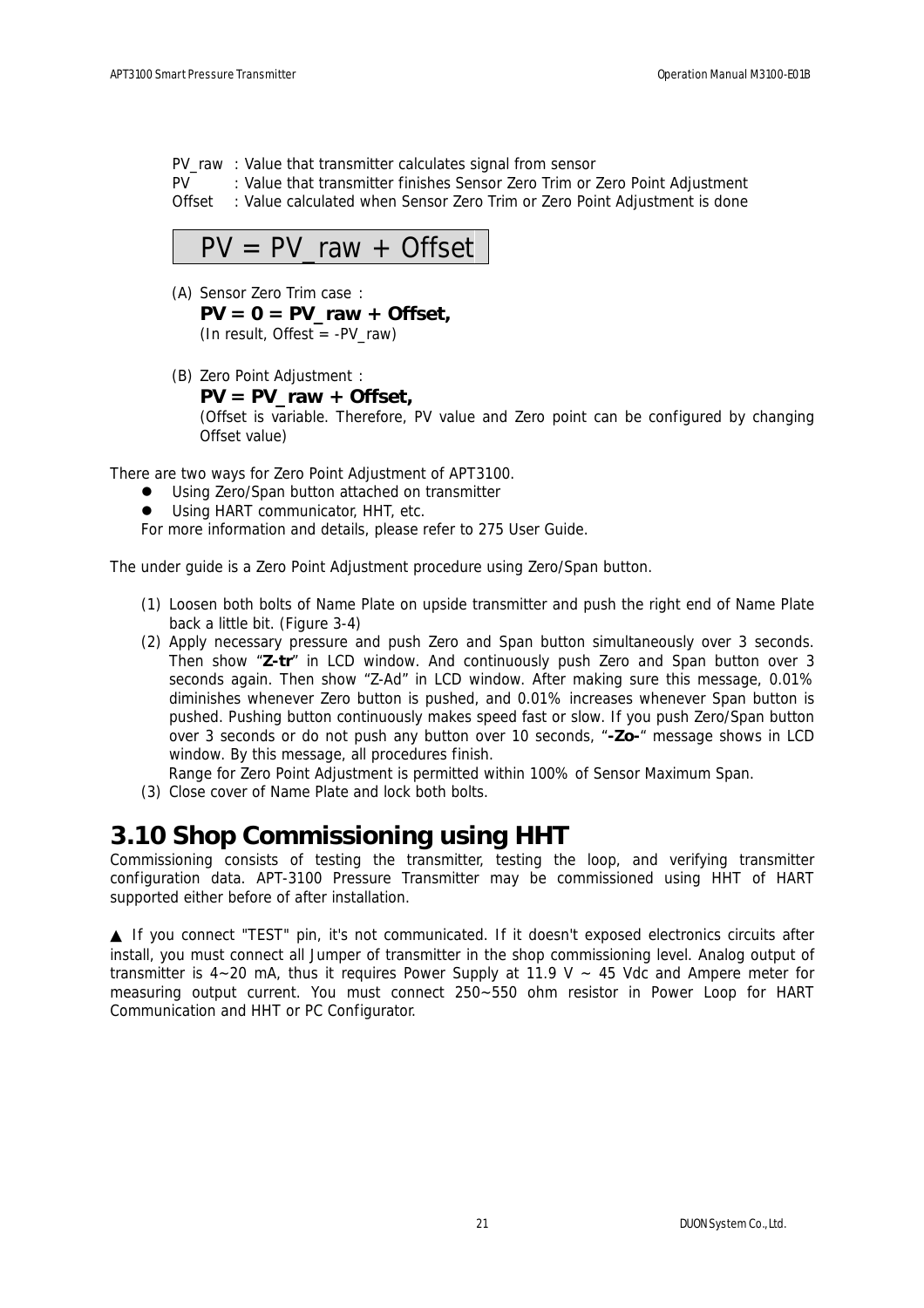PV\_raw : Value that transmitter calculates signal from sensor

PV : Value that transmitter finishes Sensor Zero Trim or Zero Point Adjustment

Offset : Value calculated when Sensor Zero Trim or Zero Point Adjustment is done



- (A) Sensor Zero Trim case : **PV = 0 = PV\_raw + Offset,**  (In result, Offest =  $-PV$  raw)
- (B) Zero Point Adjustment :

#### **PV = PV\_raw + Offset,**

(Offset is variable. Therefore, PV value and Zero point can be configured by changing Offset value)

There are two ways for Zero Point Adjustment of APT3100.

- Using Zero/Span button attached on transmitter
- Using HART communicator, HHT, etc.

For more information and details, please refer to 275 User Guide.

The under guide is a Zero Point Adjustment procedure using Zero/Span button.

- (1) Loosen both bolts of Name Plate on upside transmitter and push the right end of Name Plate back a little bit. (Figure 3-4)
- (2) Apply necessary pressure and push Zero and Span button simultaneously over 3 seconds. Then show "**Z-tr**" in LCD window. And continuously push Zero and Span button over 3 seconds again. Then show "Z-Ad" in LCD window. After making sure this message, 0.01% diminishes whenever Zero button is pushed, and 0.01% increases whenever Span button is pushed. Pushing button continuously makes speed fast or slow. If you push Zero/Span button over 3 seconds or do not push any button over 10 seconds, "**-Zo-**" message shows in LCD window. By this message, all procedures finish.

Range for Zero Point Adjustment is permitted within 100% of Sensor Maximum Span.

(3) Close cover of Name Plate and lock both bolts.

## **3.10 Shop Commissioning using HHT**

Commissioning consists of testing the transmitter, testing the loop, and verifying transmitter configuration data. APT-3100 Pressure Transmitter may be commissioned using HHT of HART supported either before of after installation.

 If you connect "TEST" pin, it's not communicated. If it doesn't exposed electronics circuits after install, you must connect all Jumper of transmitter in the shop commissioning level. Analog output of transmitter is  $4-20$  mA, thus it requires Power Supply at 11.9 V  $\sim$  45 Vdc and Ampere meter for measuring output current. You must connect 250~550 ohm resistor in Power Loop for HART Communication and HHT or PC Configurator.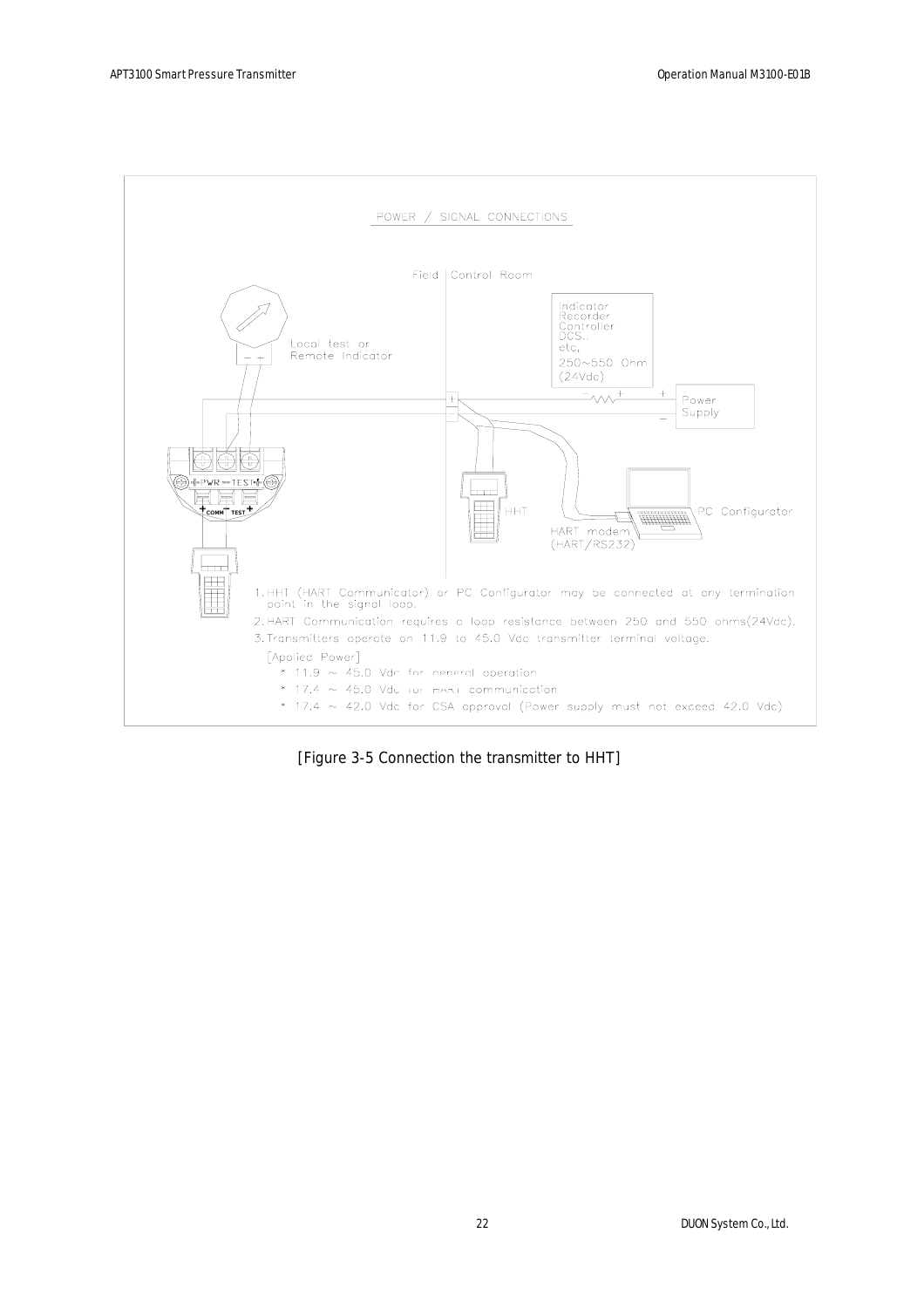

[Figure 3-5 Connection the transmitter to HHT]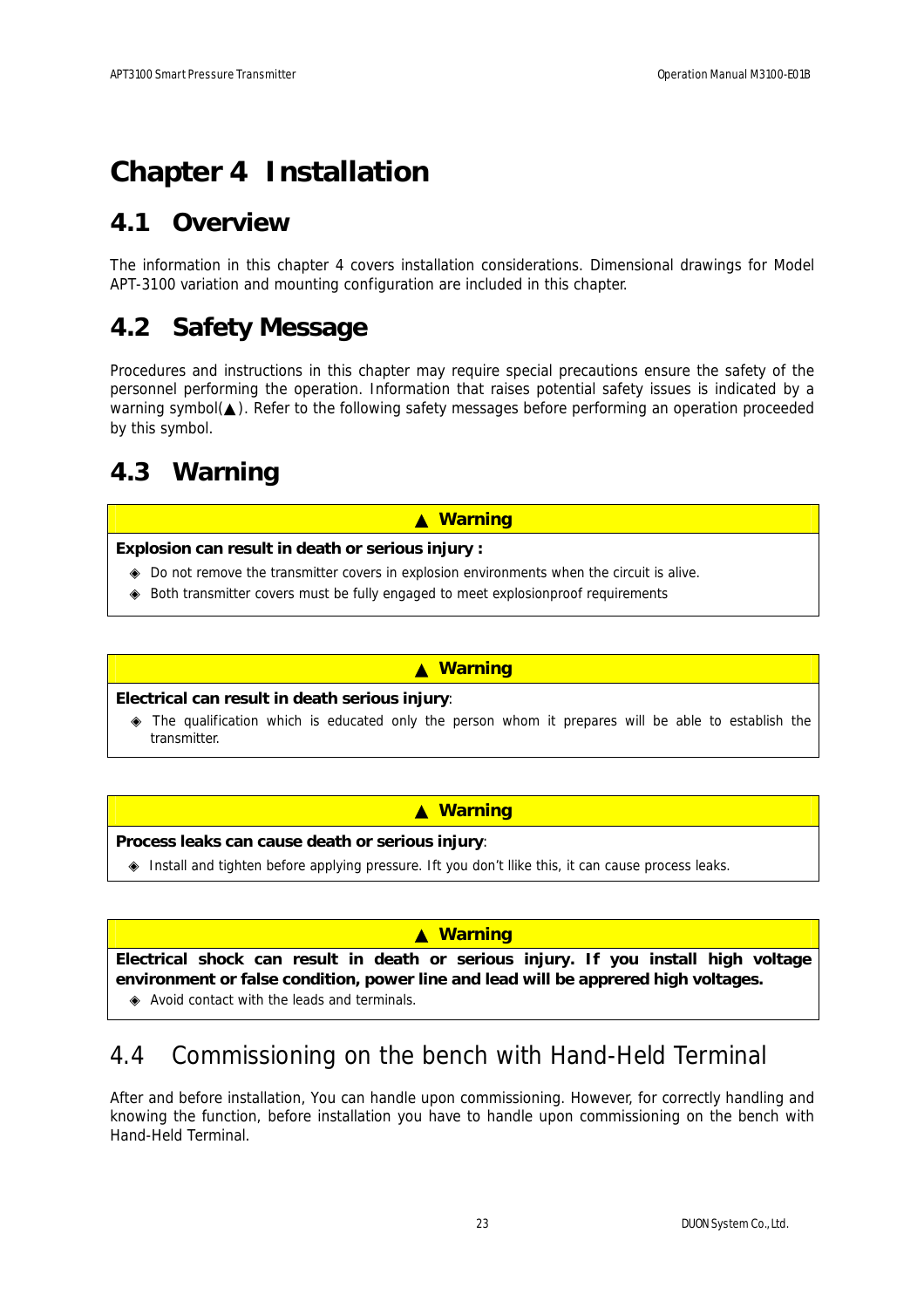# **Chapter 4 Installation**

## **4.1 Overview**

The information in this chapter 4 covers installation considerations. Dimensional drawings for Model APT-3100 variation and mounting configuration are included in this chapter.

## **4.2 Safety Message**

Procedures and instructions in this chapter may require special precautions ensure the safety of the personnel performing the operation. Information that raises potential safety issues is indicated by a warning symbol(). Refer to the following safety messages before performing an operation proceeded by this symbol.

## **4.3 Warning**

#### ▲ **Warning**

#### **Explosion can result in death or serious injury :**

 Do not remove the transmitter covers in explosion environments when the circuit is alive. Both transmitter covers must be fully engaged to meet explosionproof requirements

#### ▲ **Warning**

#### **Electrical can result in death serious injury**:

 The qualification which is educated only the person whom it prepares will be able to establish the transmitter.

#### ▲ **Warning**

#### **Process leaks can cause death or serious injury**:

Install and tighten before applying pressure. Ift you don't llike this, it can cause process leaks.

#### ▲ **Warning**

**Electrical shock can result in death or serious injury. If you install high voltage environment or false condition, power line and lead will be apprered high voltages.** Avoid contact with the leads and terminals.

## 4.4 Commissioning on the bench with Hand-Held Terminal

After and before installation, You can handle upon commissioning. However, for correctly handling and knowing the function, before installation you have to handle upon commissioning on the bench with Hand-Held Terminal.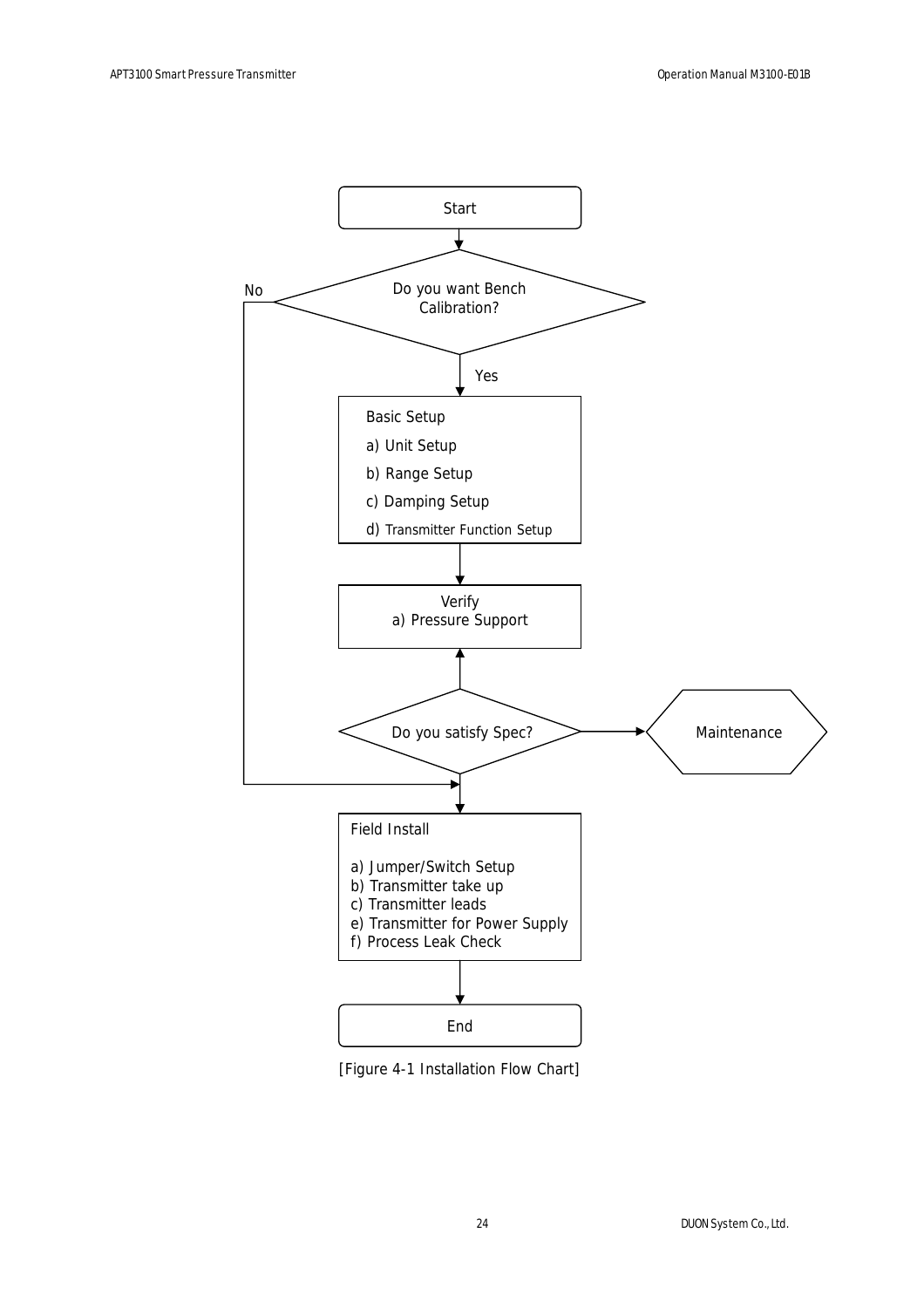

[Figure 4-1 Installation Flow Chart]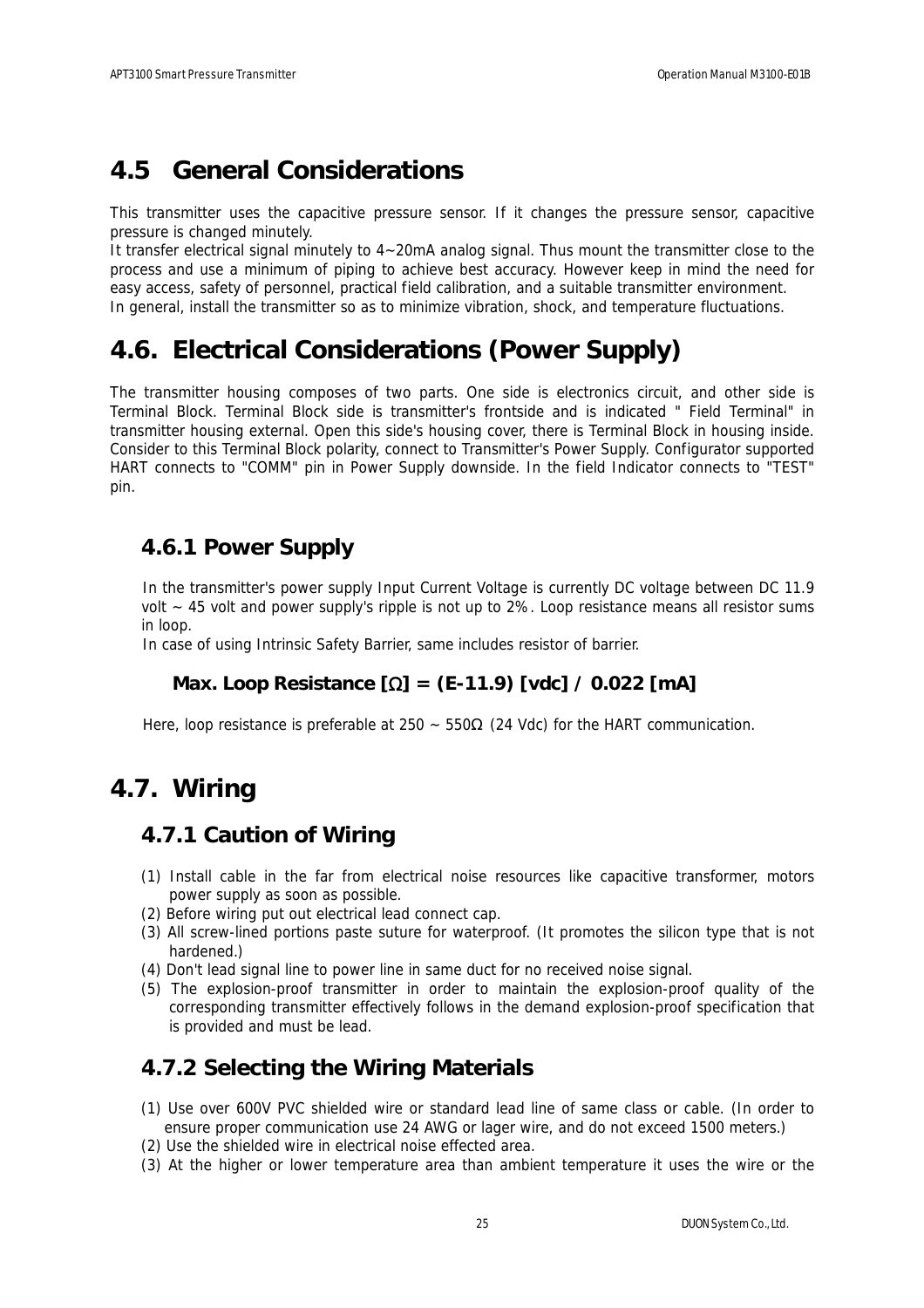## **4.5 General Considerations**

This transmitter uses the capacitive pressure sensor. If it changes the pressure sensor, capacitive pressure is changed minutely.

It transfer electrical signal minutely to 4~20mA analog signal. Thus mount the transmitter close to the process and use a minimum of piping to achieve best accuracy. However keep in mind the need for easy access, safety of personnel, practical field calibration, and a suitable transmitter environment. In general, install the transmitter so as to minimize vibration, shock, and temperature fluctuations.

## **4.6. Electrical Considerations (Power Supply)**

The transmitter housing composes of two parts. One side is electronics circuit, and other side is Terminal Block. Terminal Block side is transmitter's frontside and is indicated " Field Terminal" in transmitter housing external. Open this side's housing cover, there is Terminal Block in housing inside. Consider to this Terminal Block polarity, connect to Transmitter's Power Supply. Configurator supported HART connects to "COMM" pin in Power Supply downside. In the field Indicator connects to "TEST" pin.

### **4.6.1 Power Supply**

In the transmitter's power supply Input Current Voltage is currently DC voltage between DC 11.9 volt ~ 45 volt and power supply's ripple is not up to 2%. Loop resistance means all resistor sums in loop.

In case of using Intrinsic Safety Barrier, same includes resistor of barrier.

### **Max. Loop Resistance [**Ω**] = (E-11.9) [vdc] / 0.022 [mA]**

Here, loop resistance is preferable at 250 ~ 550 (24 Vdc) for the HART communication.

## **4.7. Wiring**

### **4.7.1 Caution of Wiring**

- (1) Install cable in the far from electrical noise resources like capacitive transformer, motors power supply as soon as possible.
- (2) Before wiring put out electrical lead connect cap.
- (3) All screw-lined portions paste suture for waterproof. (It promotes the silicon type that is not hardened.)
- (4) Don't lead signal line to power line in same duct for no received noise signal.
- (5) The explosion-proof transmitter in order to maintain the explosion-proof quality of the corresponding transmitter effectively follows in the demand explosion-proof specification that is provided and must be lead.

### **4.7.2 Selecting the Wiring Materials**

- (1) Use over 600V PVC shielded wire or standard lead line of same class or cable. (In order to ensure proper communication use 24 AWG or lager wire, and do not exceed 1500 meters.)
- (2) Use the shielded wire in electrical noise effected area.
- (3) At the higher or lower temperature area than ambient temperature it uses the wire or the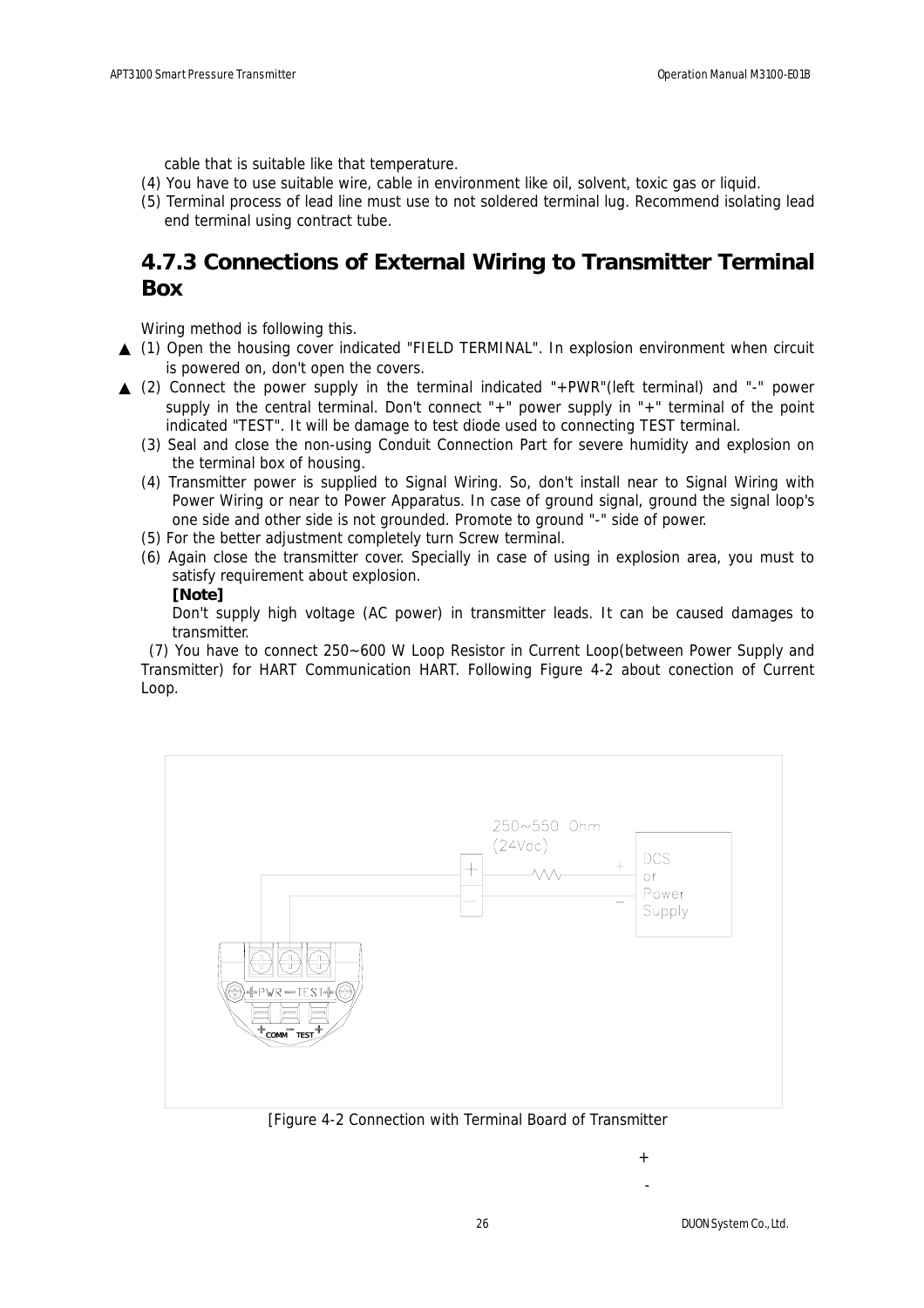cable that is suitable like that temperature.

- (4) You have to use suitable wire, cable in environment like oil, solvent, toxic gas or liquid.
- (5) Terminal process of lead line must use to not soldered terminal lug. Recommend isolating lead end terminal using contract tube.

### **4.7.3 Connections of External Wiring to Transmitter Terminal Box**

Wiring method is following this.

- (1) Open the housing cover indicated "FIELD TERMINAL". In explosion environment when circuit is powered on, don't open the covers.
- (2) Connect the power supply in the terminal indicated "+PWR"(left terminal) and "-" power supply in the central terminal. Don't connect "+" power supply in "+" terminal of the point indicated "TEST". It will be damage to test diode used to connecting TEST terminal.
- (3) Seal and close the non-using Conduit Connection Part for severe humidity and explosion on the terminal box of housing.
- (4) Transmitter power is supplied to Signal Wiring. So, don't install near to Signal Wiring with Power Wiring or near to Power Apparatus. In case of ground signal, ground the signal loop's one side and other side is not grounded. Promote to ground "-" side of power.
- (5) For the better adjustment completely turn Screw terminal.
- (6) Again close the transmitter cover. Specially in case of using in explosion area, you must to satisfy requirement about explosion.

#### **[Note]**

Don't supply high voltage (AC power) in transmitter leads. It can be caused damages to transmitter.

 (7) You have to connect 250~600 W Loop Resistor in Current Loop(between Power Supply and Transmitter) for HART Communication HART. Following Figure 4-2 about conection of Current Loop.



[Figure 4-2 Connection with Terminal Board of Transmitter

 $\pm$ -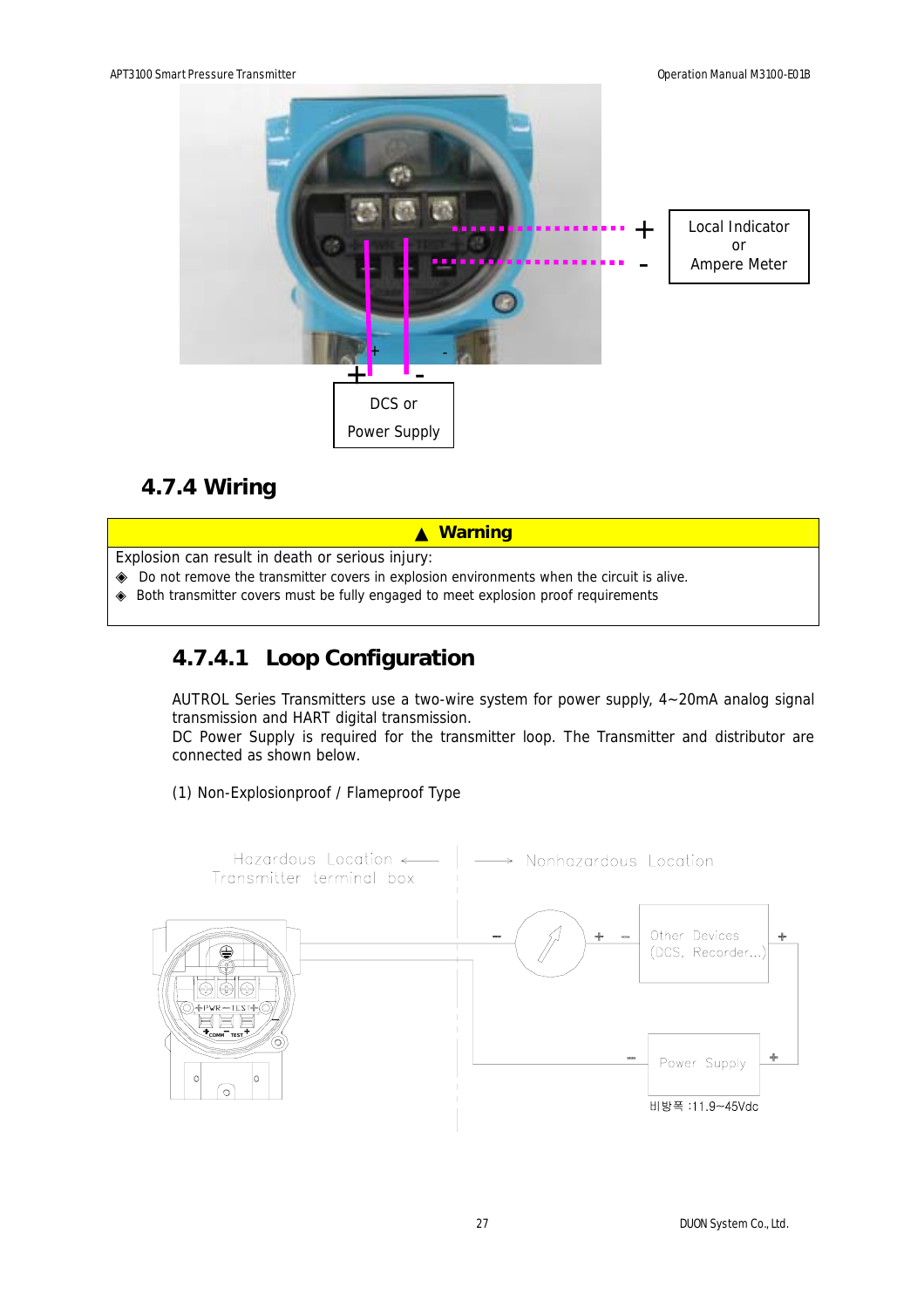

## **4.7.4 Wiring**

▲ **Warning**

Explosion can result in death or serious injury:

Do not remove the transmitter covers in explosion environments when the circuit is alive. Both transmitter covers must be fully engaged to meet explosion proof requirements

### **4.7.4.1 Loop Configuration**

AUTROL Series Transmitters use a two-wire system for power supply, 4~20mA analog signal transmission and HART digital transmission.

DC Power Supply is required for the transmitter loop. The Transmitter and distributor are connected as shown below.

(1) Non-Explosionproof / Flameproof Type

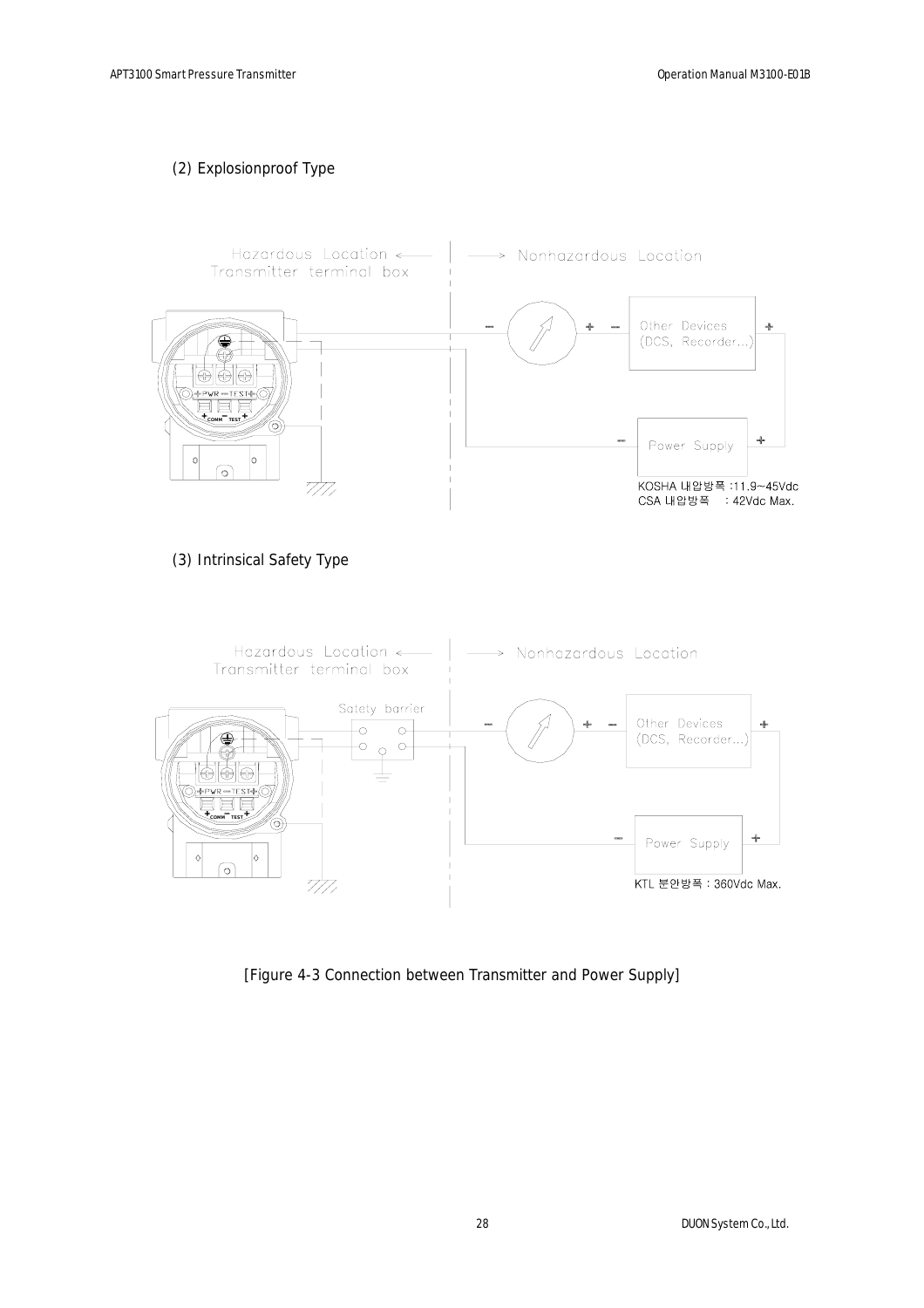#### (2) Explosionproof Type



(3) Intrinsical Safety Type



[Figure 4-3 Connection between Transmitter and Power Supply]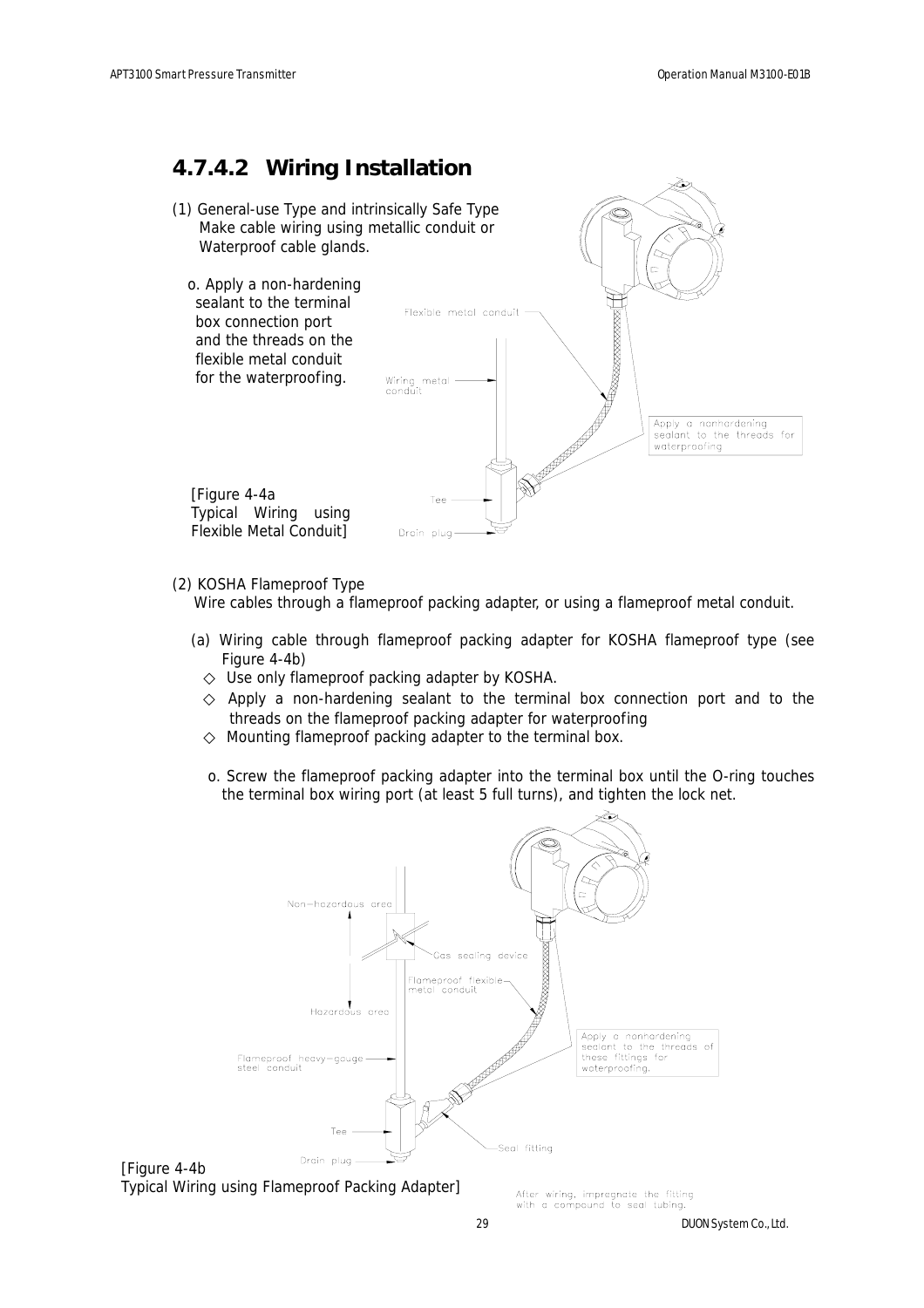### **4.7.4.2 Wiring Installation**



#### (2) KOSHA Flameproof Type

Wire cables through a flameproof packing adapter, or using a flameproof metal conduit.

(a) Wiring cable through flameproof packing adapter for KOSHA flameproof type (see Figure 4-4b)

Use only flameproof packing adapter by KOSHA.

 Apply a non-hardening sealant to the terminal box connection port and to the threads on the flameproof packing adapter for waterproofing Mounting flameproof packing adapter to the terminal box.

o. Screw the flameproof packing adapter into the terminal box until the O-ring touches the terminal box wiring port (at least 5 full turns), and tighten the lock net.



[Figure 4-4b Typical Wiring using Flameproof Packing Adapter]

After wiring, impregnate the fitting with a compound to seal tubing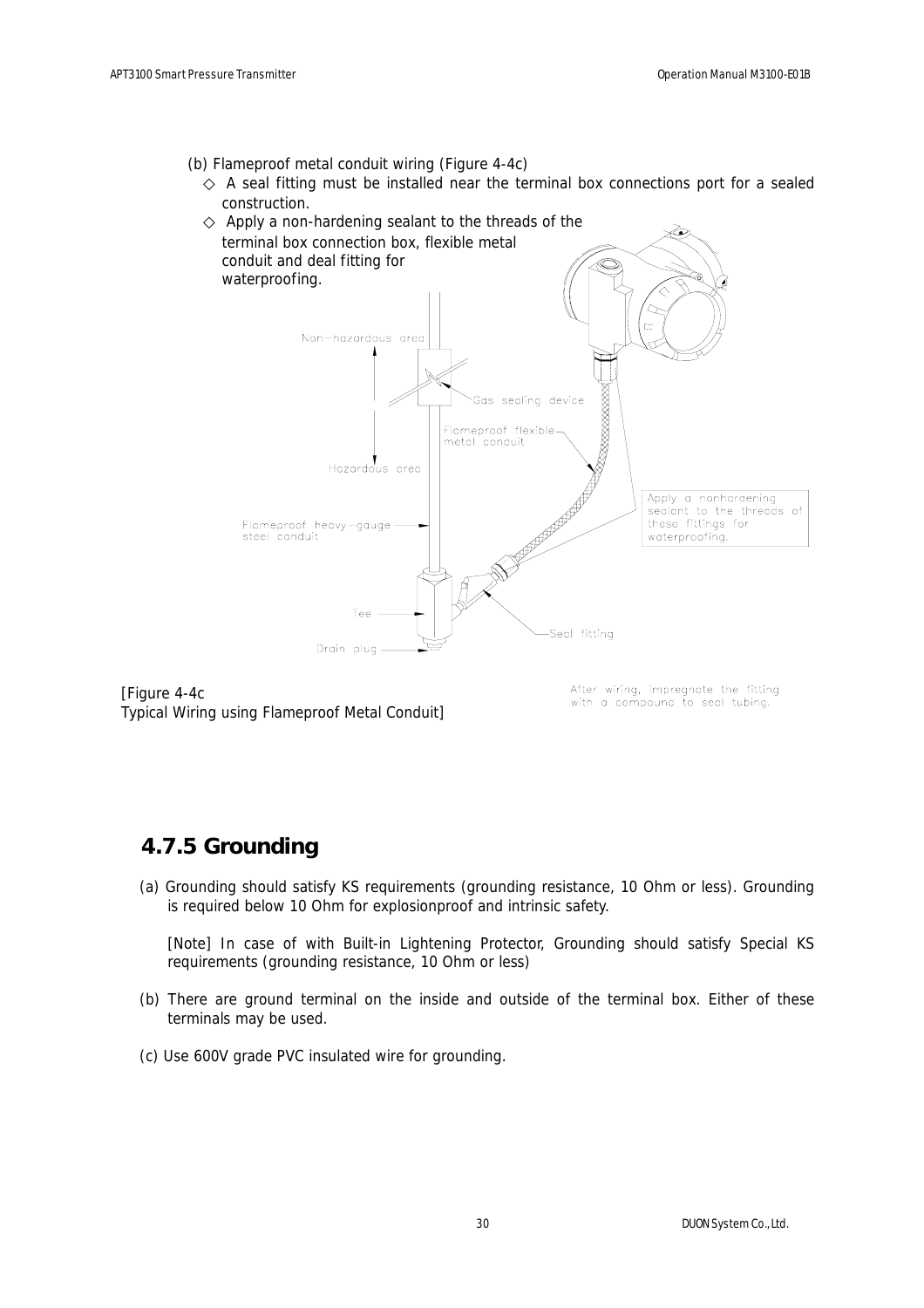- (b) Flameproof metal conduit wiring (Figure 4-4c)
	- A seal fitting must be installed near the terminal box connections port for a sealed construction.



[Figure 4-4c Typical Wiring using Flameproof Metal Conduit] After wiring, impregnate the fitting with a compound to seal tubing.

### **4.7.5 Grounding**

(a) Grounding should satisfy KS requirements (grounding resistance, 10 Ohm or less). Grounding is required below 10 Ohm for explosionproof and intrinsic safety.

[Note] In case of with Built-in Lightening Protector, Grounding should satisfy Special KS requirements (grounding resistance, 10 Ohm or less)

- (b) There are ground terminal on the inside and outside of the terminal box. Either of these terminals may be used.
- (c) Use 600V grade PVC insulated wire for grounding.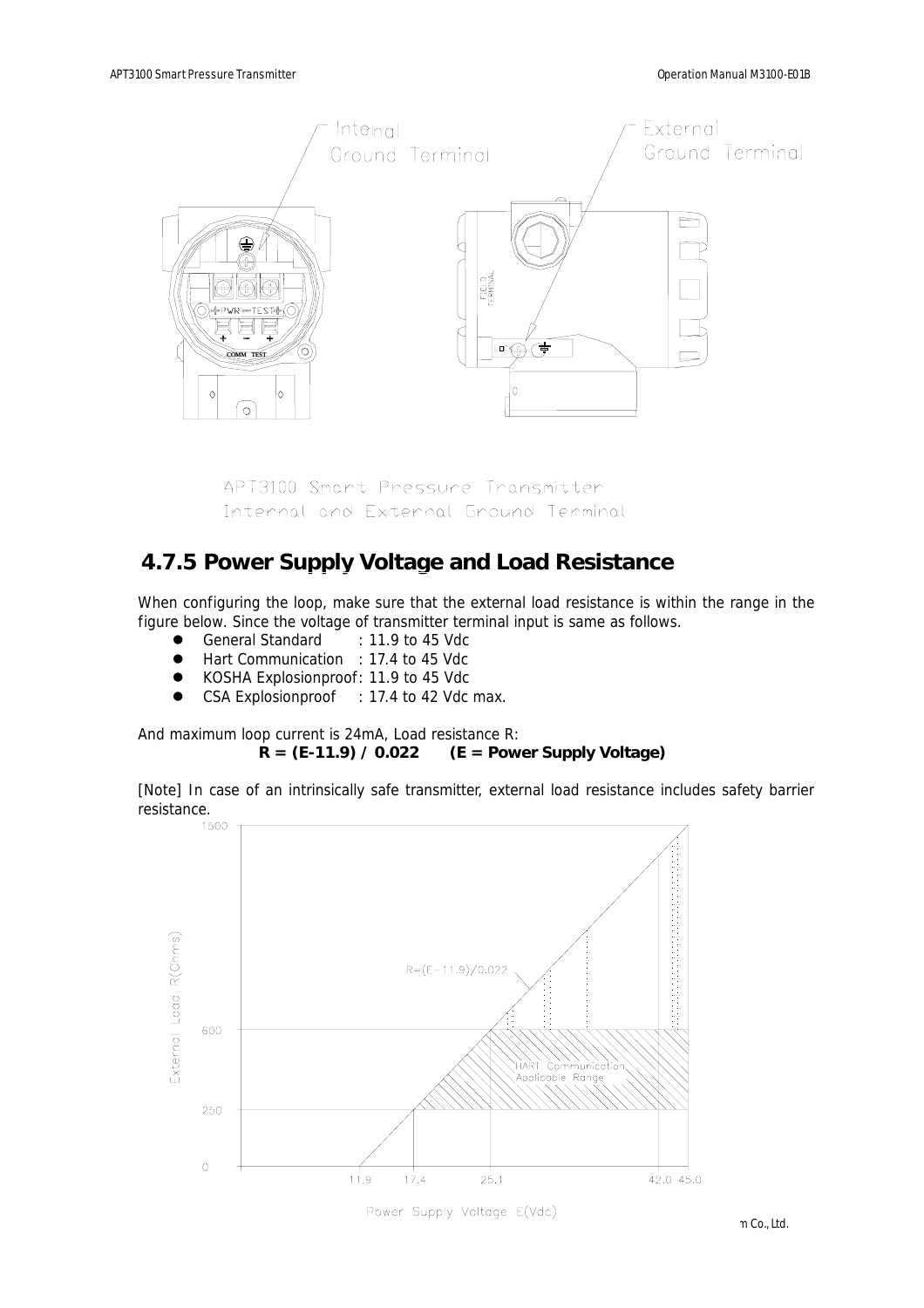

APT3100 Smart Pressure Transmitter Internal and External Ground Terminal

### **4.7.5 Power Supply Voltage and Load Resistance**

When configuring the loop, make sure that the external load resistance is within the range in the figure below. Since the voltage of transmitter terminal input is same as follows.

- General Standard : 11.9 to 45 Vdc
- Hart Communication : 17.4 to 45 Vdc
- KOSHA Explosionproof: 11.9 to 45 Vdc
- CSA Explosionproof : 17.4 to 42 Vdc max.

And maximum loop current is 24mA, Load resistance R: **R = (E-11.9) / 0.022 (E = Power Supply Voltage)**

[Note] In case of an intrinsically safe transmitter, external load resistance includes safety barrier

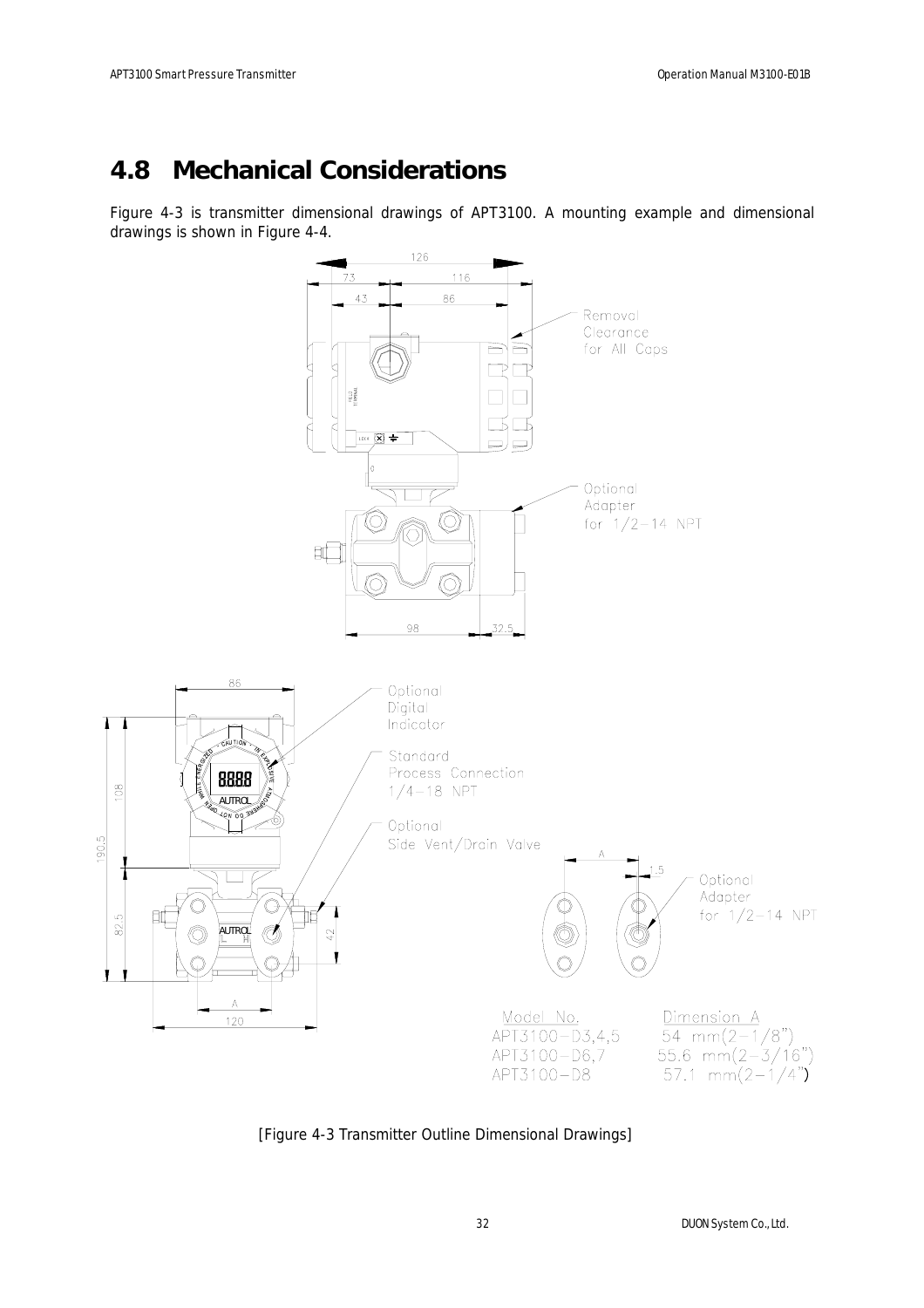## **4.8 Mechanical Considerations**

Figure 4-3 is transmitter dimensional drawings of APT3100. A mounting example and dimensional drawings is shown in Figure 4-4.



[Figure 4-3 Transmitter Outline Dimensional Drawings]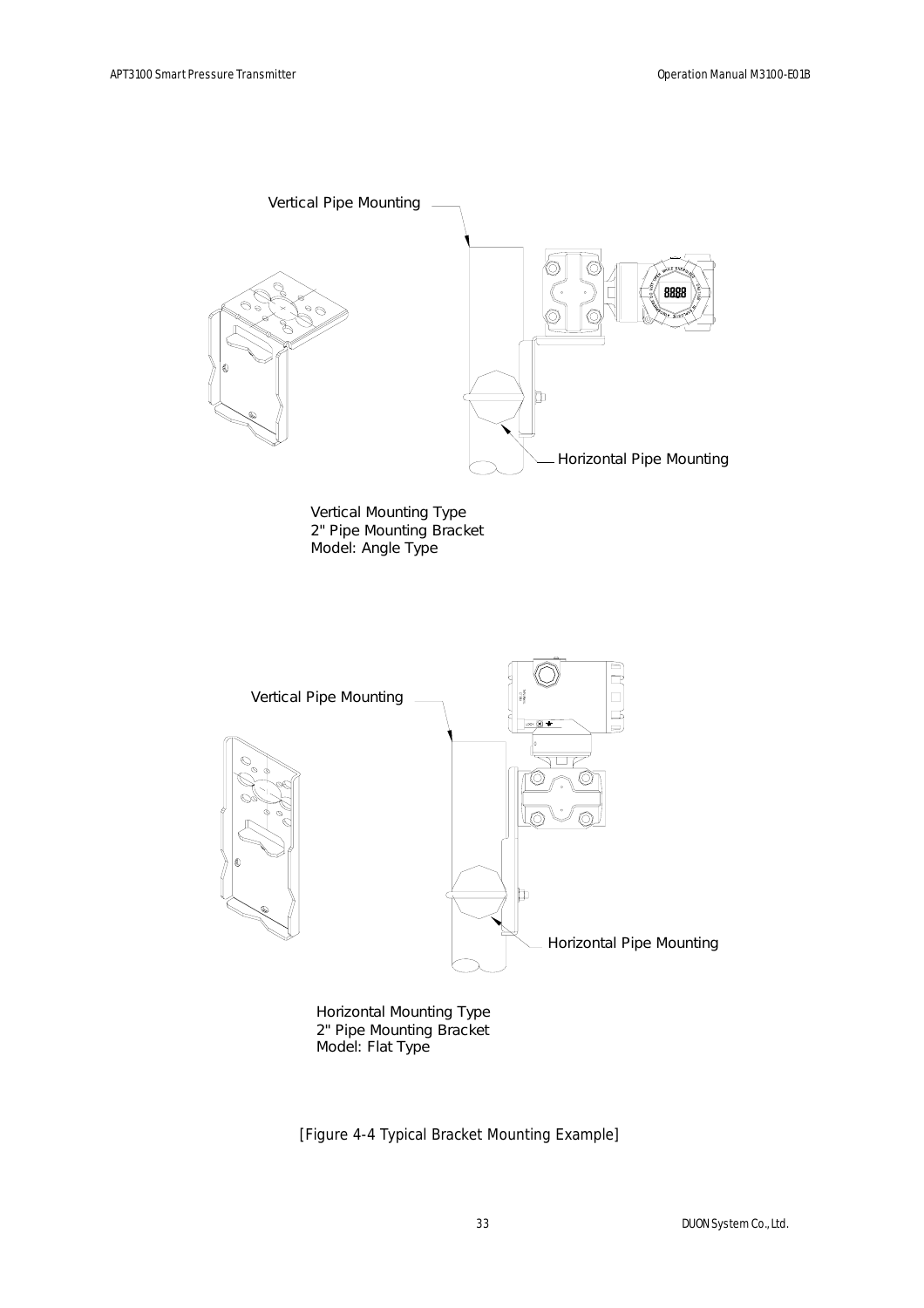

Model: Flat Type 2" Pipe Mounting Bracket Horizontal Mounting Type

[Figure 4-4 Typical Bracket Mounting Example]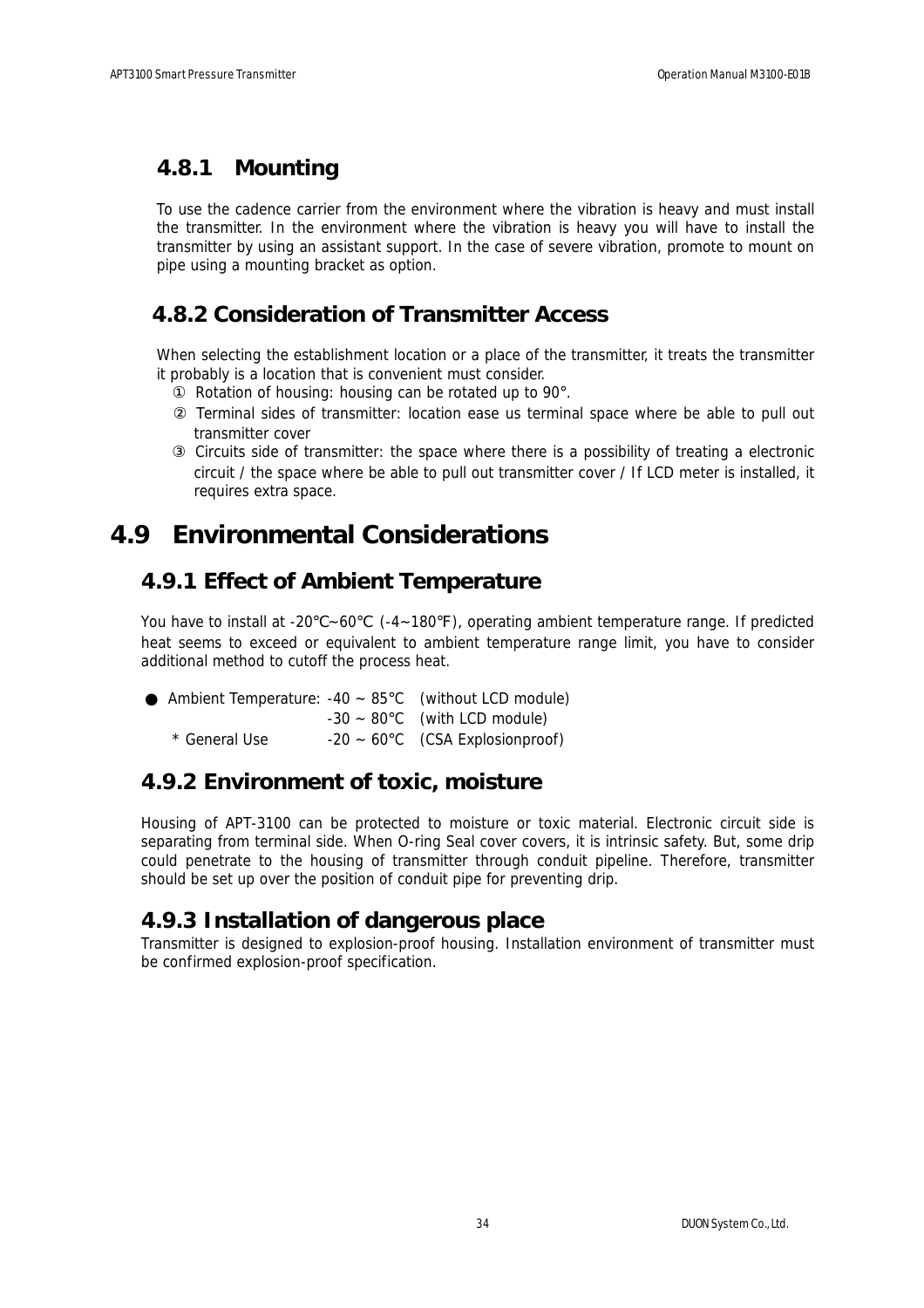### **4.8.1 Mounting**

To use the cadence carrier from the environment where the vibration is heavy and must install the transmitter. In the environment where the vibration is heavy you will have to install the transmitter by using an assistant support. In the case of severe vibration, promote to mount on pipe using a mounting bracket as option.

### **4.8.2 Consideration of Transmitter Access**

When selecting the establishment location or a place of the transmitter, it treats the transmitter it probably is a location that is convenient must consider.

Rotation of housing: housing can be rotated up to 90°.

 Terminal sides of transmitter: location ease us terminal space where be able to pull out transmitter cover

 Circuits side of transmitter: the space where there is a possibility of treating a electronic circuit / the space where be able to pull out transmitter cover / If LCD meter is installed, it requires extra space.

### **4.9 Environmental Considerations**

### **4.9.1 Effect of Ambient Temperature**

You have to install at -20  $\sim$  60  $($ -4 $\sim$ 180 ), operating ambient temperature range. If predicted heat seems to exceed or equivalent to ambient temperature range limit, you have to consider additional method to cutoff the process heat.

|               | Ambient Temperature: $-40 \sim 85^{\circ}$ C (without LCD module) |
|---------------|-------------------------------------------------------------------|
|               | $-30 \sim 80^{\circ}$ C (with LCD module)                         |
| * General Use | $-20 \sim 60^{\circ}$ C (CSA Explosionproof)                      |

### **4.9.2 Environment of toxic, moisture**

Housing of APT-3100 can be protected to moisture or toxic material. Electronic circuit side is separating from terminal side. When O-ring Seal cover covers, it is intrinsic safety. But, some drip could penetrate to the housing of transmitter through conduit pipeline. Therefore, transmitter should be set up over the position of conduit pipe for preventing drip.

### **4.9.3 Installation of dangerous place**

Transmitter is designed to explosion-proof housing. Installation environment of transmitter must be confirmed explosion-proof specification.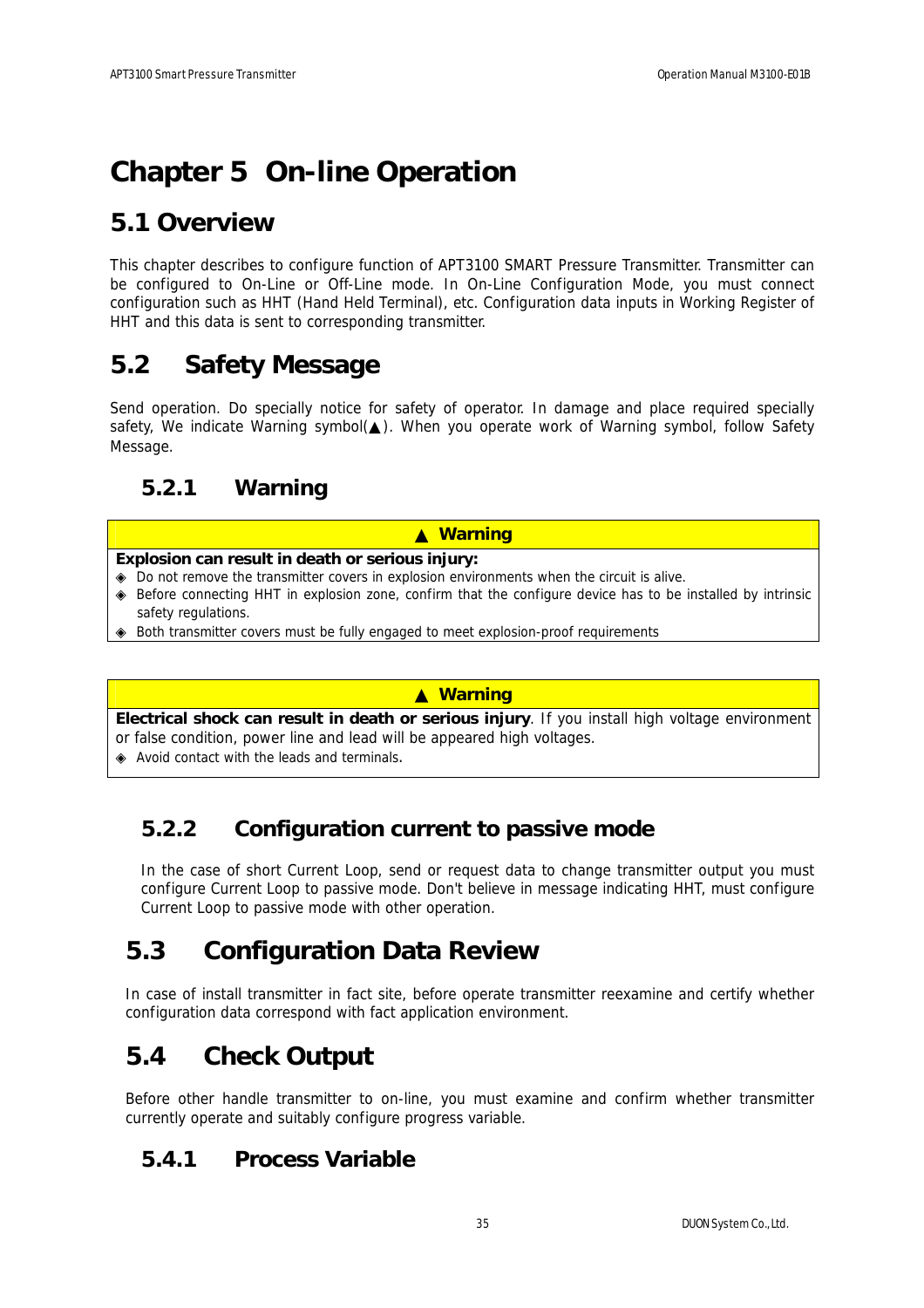# **Chapter 5 On-line Operation**

## **5.1 Overview**

This chapter describes to configure function of APT3100 SMART Pressure Transmitter. Transmitter can be configured to On-Line or Off-Line mode. In On-Line Configuration Mode, you must connect configuration such as HHT (Hand Held Terminal), etc. Configuration data inputs in Working Register of HHT and this data is sent to corresponding transmitter.

## **5.2 Safety Message**

Send operation. Do specially notice for safety of operator. In damage and place required specially safety, We indicate Warning symbol( ). When you operate work of Warning symbol, follow Safety Message.

## **5.2.1 Warning**

#### ▲ **Warning**

#### **Explosion can result in death or serious injury:**

 Do not remove the transmitter covers in explosion environments when the circuit is alive. Before connecting HHT in explosion zone, confirm that the configure device has to be installed by intrinsic safety regulations.

Both transmitter covers must be fully engaged to meet explosion-proof requirements

#### ▲ **Warning**

**Electrical shock can result in death or serious injury**. If you install high voltage environment or false condition, power line and lead will be appeared high voltages.

Avoid contact with the leads and terminals.

### **5.2.2 Configuration current to passive mode**

In the case of short Current Loop, send or request data to change transmitter output you must configure Current Loop to passive mode. Don't believe in message indicating HHT, must configure Current Loop to passive mode with other operation.

## **5.3 Configuration Data Review**

In case of install transmitter in fact site, before operate transmitter reexamine and certify whether configuration data correspond with fact application environment.

## **5.4 Check Output**

Before other handle transmitter to on-line, you must examine and confirm whether transmitter currently operate and suitably configure progress variable.

### **5.4.1 Process Variable**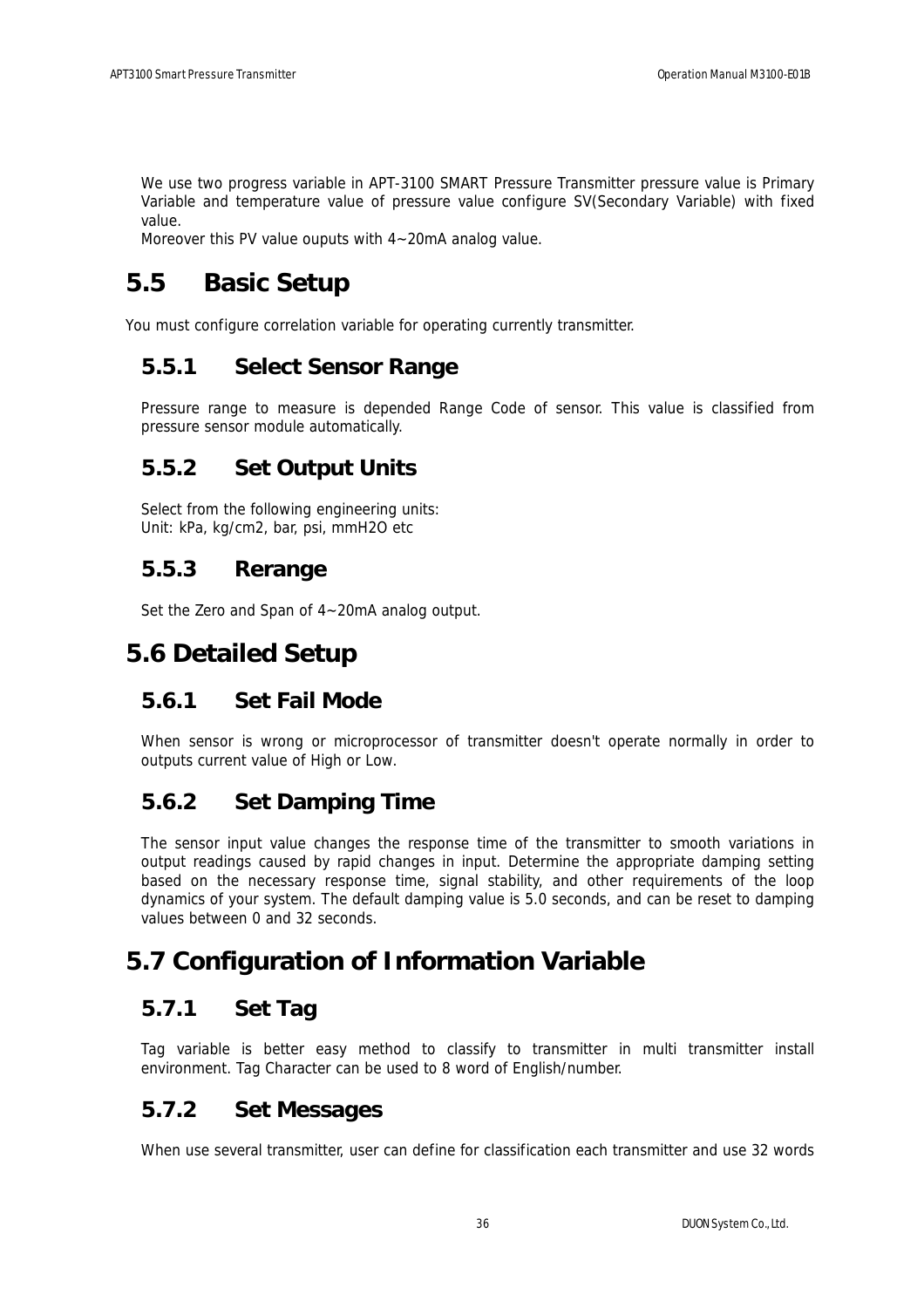We use two progress variable in APT-3100 SMART Pressure Transmitter pressure value is Primary Variable and temperature value of pressure value configure SV(Secondary Variable) with fixed value.

Moreover this PV value ouputs with 4~20mA analog value.

## **5.5 Basic Setup**

You must configure correlation variable for operating currently transmitter.

### **5.5.1 Select Sensor Range**

Pressure range to measure is depended Range Code of sensor. This value is classified from pressure sensor module automatically.

### **5.5.2 Set Output Units**

Select from the following engineering units: Unit: kPa, kg/cm2, bar, psi, mmH2O etc

### **5.5.3 Rerange**

Set the Zero and Span of 4~20mA analog output.

## **5.6 Detailed Setup**

### **5.6.1 Set Fail Mode**

When sensor is wrong or microprocessor of transmitter doesn't operate normally in order to outputs current value of High or Low.

### **5.6.2 Set Damping Time**

The sensor input value changes the response time of the transmitter to smooth variations in output readings caused by rapid changes in input. Determine the appropriate damping setting based on the necessary response time, signal stability, and other requirements of the loop dynamics of your system. The default damping value is 5.0 seconds, and can be reset to damping values between 0 and 32 seconds.

## **5.7 Configuration of Information Variable**

### **5.7.1 Set Tag**

Tag variable is better easy method to classify to transmitter in multi transmitter install environment. Tag Character can be used to 8 word of English/number.

### **5.7.2 Set Messages**

When use several transmitter, user can define for classification each transmitter and use 32 words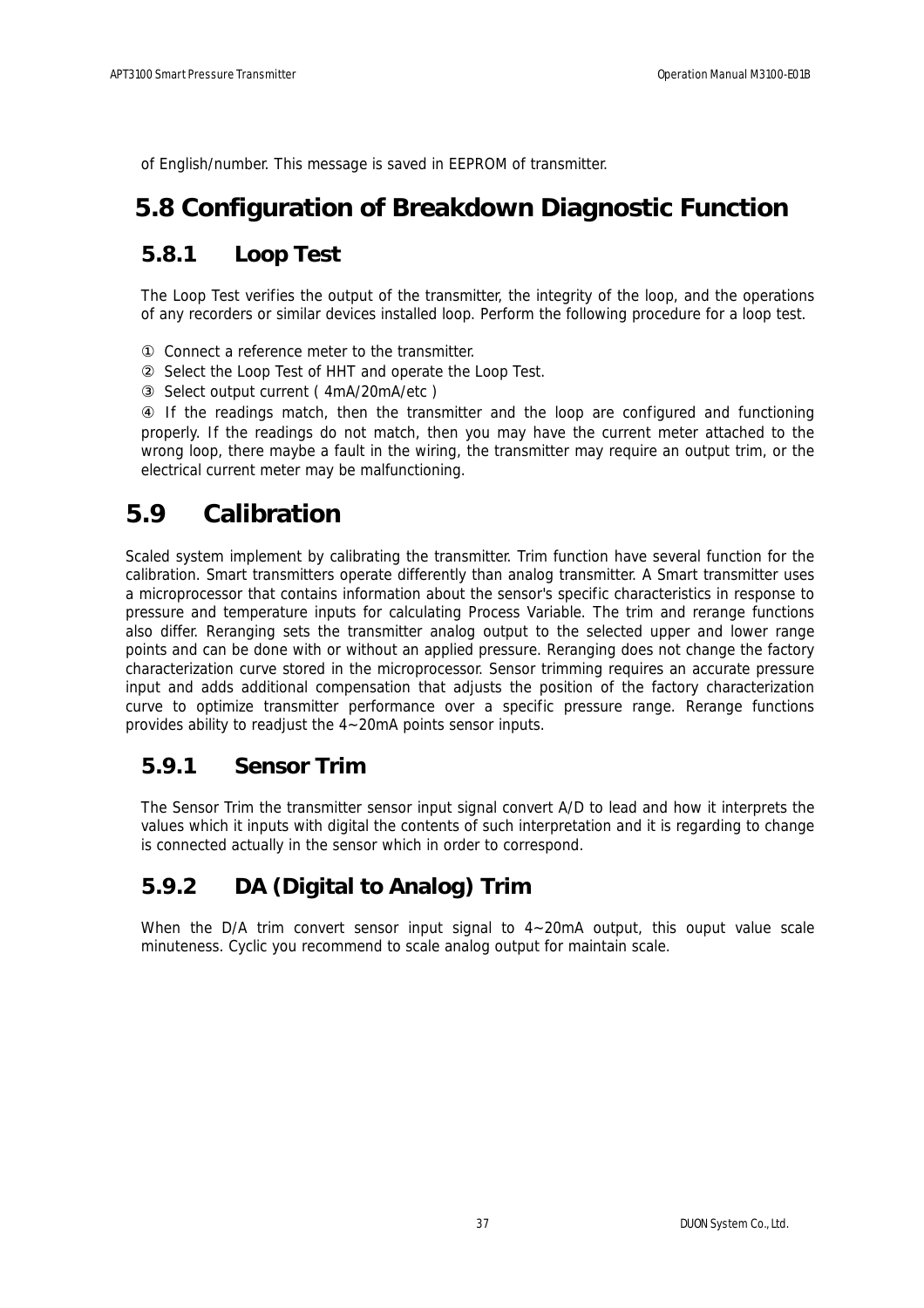of English/number. This message is saved in EEPROM of transmitter.

## **5.8 Configuration of Breakdown Diagnostic Function**

### **5.8.1 Loop Test**

The Loop Test verifies the output of the transmitter, the integrity of the loop, and the operations of any recorders or similar devices installed loop. Perform the following procedure for a loop test.

Connect a reference meter to the transmitter.

Select the Loop Test of HHT and operate the Loop Test.

Select output current ( 4mA/20mA/etc )

 If the readings match, then the transmitter and the loop are configured and functioning properly. If the readings do not match, then you may have the current meter attached to the wrong loop, there maybe a fault in the wiring, the transmitter may require an output trim, or the electrical current meter may be malfunctioning.

## **5.9 Calibration**

Scaled system implement by calibrating the transmitter. Trim function have several function for the calibration. Smart transmitters operate differently than analog transmitter. A Smart transmitter uses a microprocessor that contains information about the sensor's specific characteristics in response to pressure and temperature inputs for calculating Process Variable. The trim and rerange functions also differ. Reranging sets the transmitter analog output to the selected upper and lower range points and can be done with or without an applied pressure. Reranging does not change the factory characterization curve stored in the microprocessor. Sensor trimming requires an accurate pressure input and adds additional compensation that adjusts the position of the factory characterization curve to optimize transmitter performance over a specific pressure range. Rerange functions provides ability to readjust the 4~20mA points sensor inputs.

### **5.9.1 Sensor Trim**

The Sensor Trim the transmitter sensor input signal convert A/D to lead and how it interprets the values which it inputs with digital the contents of such interpretation and it is regarding to change is connected actually in the sensor which in order to correspond.

### **5.9.2 DA (Digital to Analog) Trim**

When the D/A trim convert sensor input signal to  $4 \sim 20 \text{mA}$  output, this ouput value scale minuteness. Cyclic you recommend to scale analog output for maintain scale.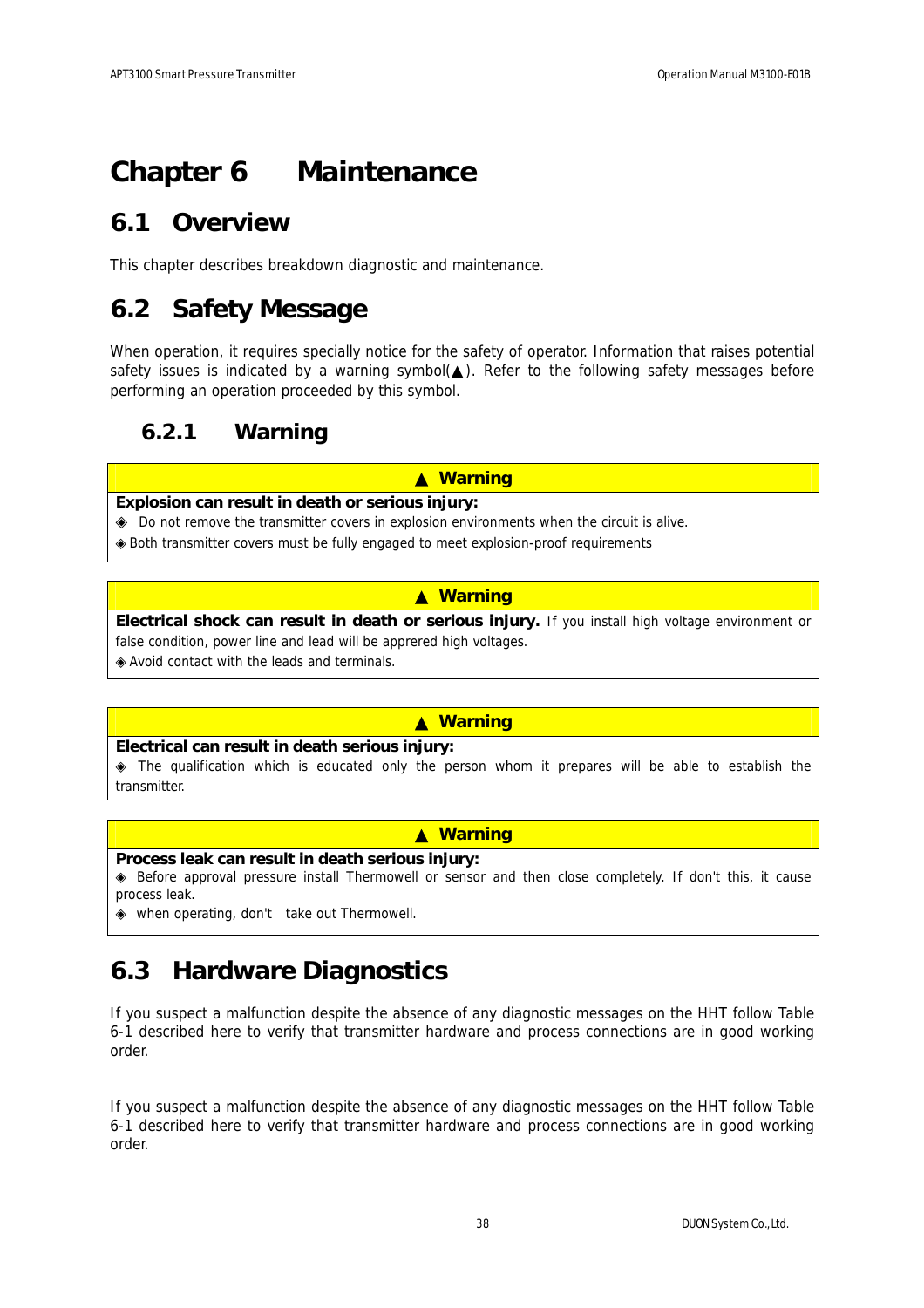# **Chapter 6 Maintenance**

## **6.1 Overview**

This chapter describes breakdown diagnostic and maintenance.

## **6.2 Safety Message**

When operation, it requires specially notice for the safety of operator. Information that raises potential safety issues is indicated by a warning symbol( ). Refer to the following safety messages before performing an operation proceeded by this symbol.

### **6.2.1 Warning**

#### ▲ **Warning**

#### **Explosion can result in death or serious injury:**

Do not remove the transmitter covers in explosion environments when the circuit is alive. Both transmitter covers must be fully engaged to meet explosion-proof requirements

#### ▲ **Warning**

**Electrical shock can result in death or serious injury.** If you install high voltage environment or false condition, power line and lead will be apprered high voltages.

Avoid contact with the leads and terminals.

#### ▲ **Warning**

#### **Electrical can result in death serious injury:**

 The qualification which is educated only the person whom it prepares will be able to establish the transmitter.

#### ▲ **Warning**

#### **Process leak can result in death serious injury:**

 Before approval pressure install Thermowell or sensor and then close completely. If don't this, it cause process leak.

when operating, don't take out Thermowell.

## **6.3 Hardware Diagnostics**

If you suspect a malfunction despite the absence of any diagnostic messages on the HHT follow Table 6-1 described here to verify that transmitter hardware and process connections are in good working order.

If you suspect a malfunction despite the absence of any diagnostic messages on the HHT follow Table 6-1 described here to verify that transmitter hardware and process connections are in good working order.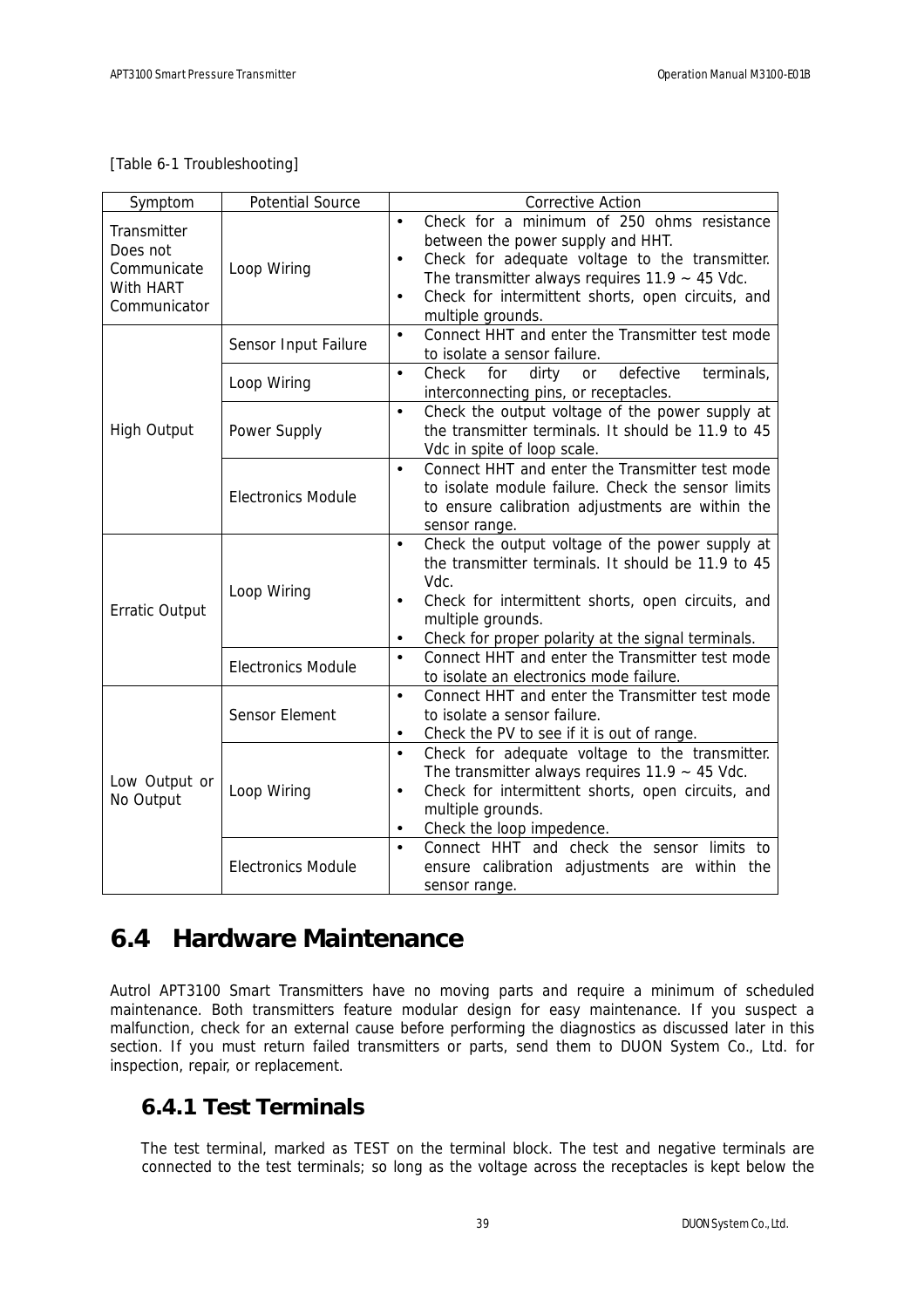#### [Table 6-1 Troubleshooting]

| Symptom                                                             | <b>Potential Source</b>   | <b>Corrective Action</b>                                                                                                                                                                                                                                                                                  |
|---------------------------------------------------------------------|---------------------------|-----------------------------------------------------------------------------------------------------------------------------------------------------------------------------------------------------------------------------------------------------------------------------------------------------------|
| Transmitter<br>Does not<br>Communicate<br>With HART<br>Communicator | Loop Wiring               | Check for a minimum of 250 ohms resistance<br>$\bullet$<br>between the power supply and HHT.<br>Check for adequate voltage to the transmitter.<br>$\bullet$<br>The transmitter always requires $11.9 \sim 45$ Vdc.<br>Check for intermittent shorts, open circuits, and<br>$\bullet$<br>multiple grounds. |
|                                                                     | Sensor Input Failure      | Connect HHT and enter the Transmitter test mode<br>$\bullet$<br>to isolate a sensor failure.                                                                                                                                                                                                              |
|                                                                     | Loop Wiring               | Check<br>defective<br>for<br>dirty<br>terminals,<br>$\bullet$<br>or<br>interconnecting pins, or receptacles.                                                                                                                                                                                              |
| <b>High Output</b>                                                  | Power Supply              | Check the output voltage of the power supply at<br>$\bullet$<br>the transmitter terminals. It should be 11.9 to 45<br>Vdc in spite of loop scale.                                                                                                                                                         |
|                                                                     | <b>Electronics Module</b> | Connect HHT and enter the Transmitter test mode<br>$\bullet$<br>to isolate module failure. Check the sensor limits<br>to ensure calibration adjustments are within the<br>sensor range.                                                                                                                   |
| <b>Erratic Output</b>                                               | Loop Wiring               | Check the output voltage of the power supply at<br>$\bullet$<br>the transmitter terminals. It should be 11.9 to 45<br>Vdc.<br>Check for intermittent shorts, open circuits, and<br>$\bullet$<br>multiple grounds.<br>Check for proper polarity at the signal terminals.<br>$\bullet$                      |
|                                                                     | <b>Electronics Module</b> | Connect HHT and enter the Transmitter test mode<br>$\bullet$<br>to isolate an electronics mode failure.                                                                                                                                                                                                   |
|                                                                     | Sensor Element            | $\bullet$<br>Connect HHT and enter the Transmitter test mode<br>to isolate a sensor failure.<br>Check the PV to see if it is out of range.<br>$\bullet$                                                                                                                                                   |
| Low Output or<br>No Output                                          | Loop Wiring               | $\bullet$<br>Check for adequate voltage to the transmitter.<br>The transmitter always requires $11.9 \sim 45$ Vdc.<br>Check for intermittent shorts, open circuits, and<br>$\bullet$<br>multiple grounds.<br>Check the loop impedence.<br>$\bullet$                                                       |
|                                                                     | <b>Electronics Module</b> | Connect HHT and check the sensor limits to<br>$\bullet$<br>ensure calibration adjustments are within the<br>sensor range.                                                                                                                                                                                 |

## **6.4 Hardware Maintenance**

Autrol APT3100 Smart Transmitters have no moving parts and require a minimum of scheduled maintenance. Both transmitters feature modular design for easy maintenance. If you suspect a malfunction, check for an external cause before performing the diagnostics as discussed later in this section. If you must return failed transmitters or parts, send them to DUON System Co., Ltd. for inspection, repair, or replacement.

### **6.4.1 Test Terminals**

The test terminal, marked as TEST on the terminal block. The test and negative terminals are connected to the test terminals; so long as the voltage across the receptacles is kept below the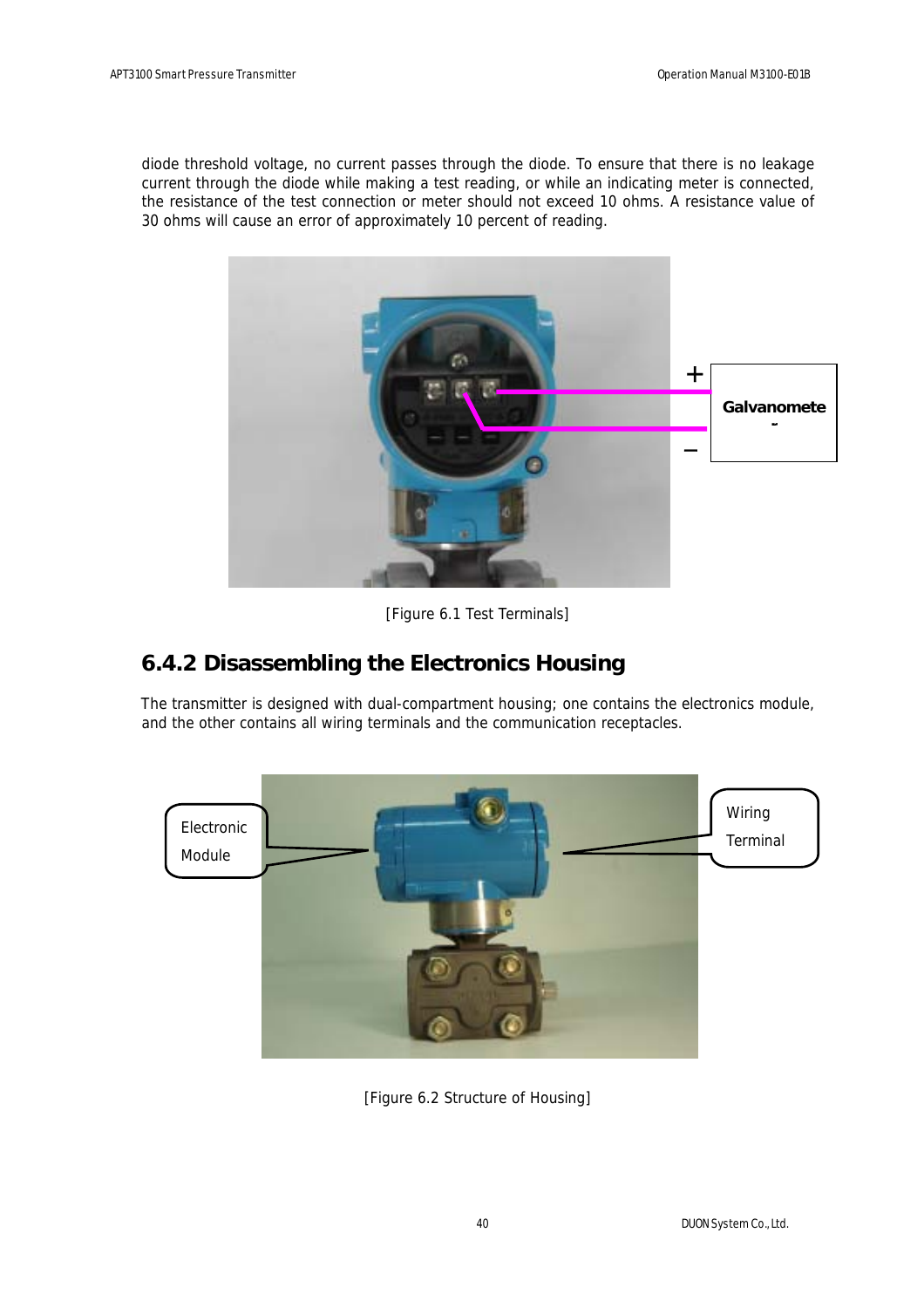diode threshold voltage, no current passes through the diode. To ensure that there is no leakage current through the diode while making a test reading, or while an indicating meter is connected, the resistance of the test connection or meter should not exceed 10 ohms. A resistance value of 30 ohms will cause an error of approximately 10 percent of reading.



[Figure 6.1 Test Terminals]

## **6.4.2 Disassembling the Electronics Housing**

The transmitter is designed with dual-compartment housing; one contains the electronics module, and the other contains all wiring terminals and the communication receptacles.



[Figure 6.2 Structure of Housing]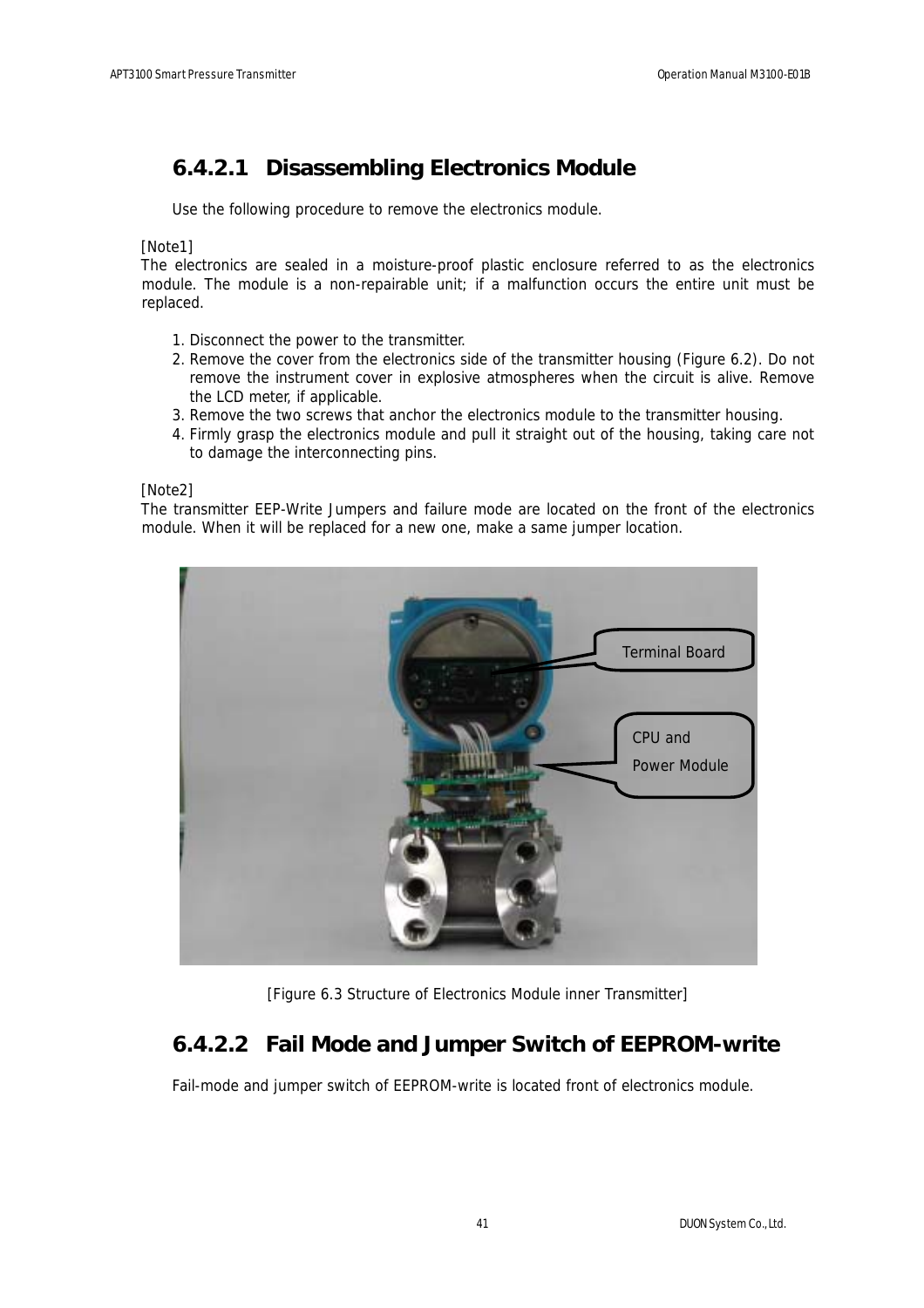### **6.4.2.1 Disassembling Electronics Module**

Use the following procedure to remove the electronics module.

[Note1]

The electronics are sealed in a moisture-proof plastic enclosure referred to as the electronics module. The module is a non-repairable unit; if a malfunction occurs the entire unit must be replaced.

- 1. Disconnect the power to the transmitter.
- 2. Remove the cover from the electronics side of the transmitter housing (Figure 6.2). Do not remove the instrument cover in explosive atmospheres when the circuit is alive. Remove the LCD meter, if applicable.
- 3. Remove the two screws that anchor the electronics module to the transmitter housing.
- 4. Firmly grasp the electronics module and pull it straight out of the housing, taking care not to damage the interconnecting pins.

#### [Note2]

The transmitter EEP-Write Jumpers and failure mode are located on the front of the electronics module. When it will be replaced for a new one, make a same jumper location.



[Figure 6.3 Structure of Electronics Module inner Transmitter]

### **6.4.2.2 Fail Mode and Jumper Switch of EEPROM-write**

Fail-mode and jumper switch of EEPROM-write is located front of electronics module.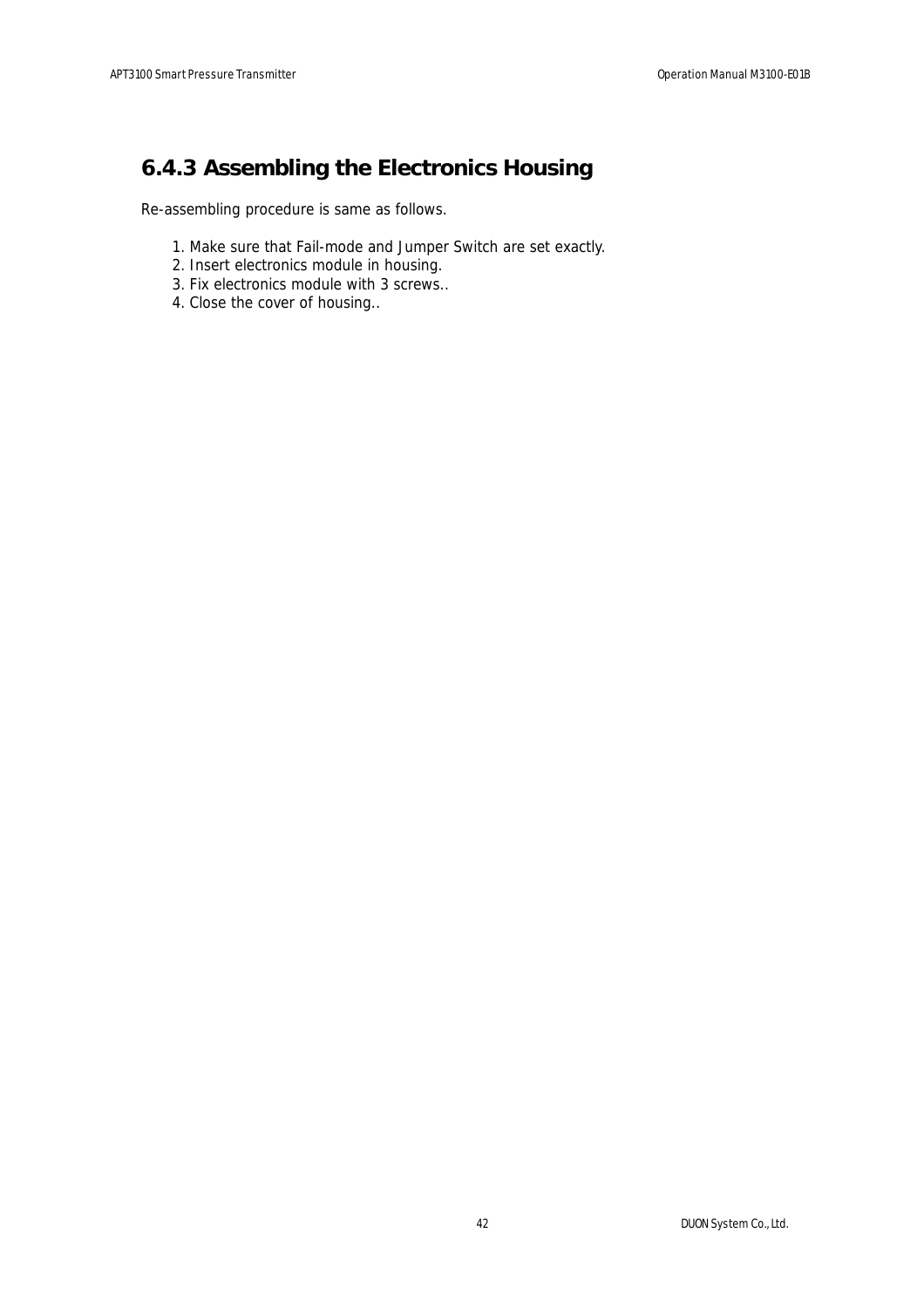## **6.4.3 Assembling the Electronics Housing**

Re-assembling procedure is same as follows.

- 1. Make sure that Fail-mode and Jumper Switch are set exactly.
- 2. Insert electronics module in housing.
- 3. Fix electronics module with 3 screws..
- 4. Close the cover of housing..